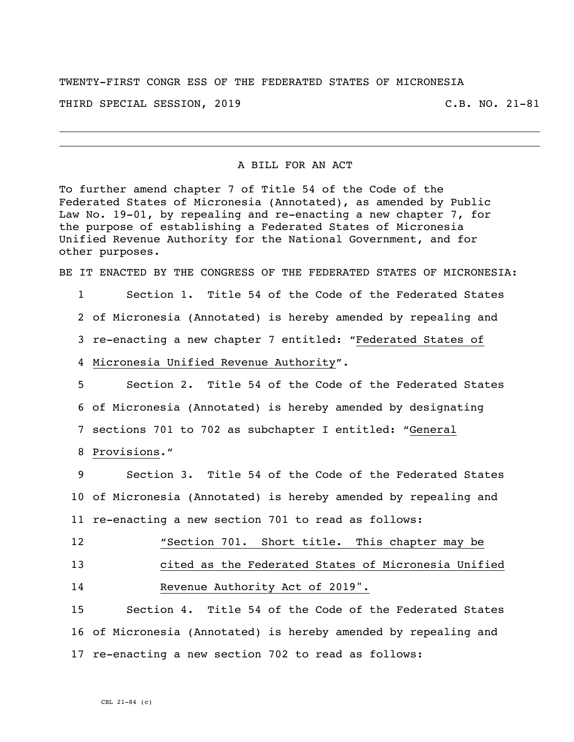TWENTY-FIRST CONGR ESS OF THE FEDERATED STATES OF MICRONESIA THIRD SPECIAL SESSION, 2019 C.B. NO. 21-81

#### A BILL FOR AN ACT

To further amend chapter 7 of Title 54 of the Code of the Federated States of Micronesia (Annotated), as amended by Public Law No. 19-01, by repealing and re-enacting a new chapter 7, for the purpose of establishing a Federated States of Micronesia Unified Revenue Authority for the National Government, and for other purposes.

BE IT ENACTED BY THE CONGRESS OF THE FEDERATED STATES OF MICRONESIA:

 Section 1. Title 54 of the Code of the Federated States of Micronesia (Annotated) is hereby amended by repealing and re-enacting a new chapter 7 entitled: "Federated States of Micronesia Unified Revenue Authority".

 Section 2. Title 54 of the Code of the Federated States of Micronesia (Annotated) is hereby amended by designating sections 701 to 702 as subchapter I entitled: "General

Provisions."

 Section 3. Title 54 of the Code of the Federated States of Micronesia (Annotated) is hereby amended by repealing and re-enacting a new section 701 to read as follows:

"Section 701. Short title**.** This chapter may be

 cited as the Federated States of Micronesia Unified Revenue Authority Act of 2019".

 Section 4. Title 54 of the Code of the Federated States of Micronesia (Annotated) is hereby amended by repealing and re-enacting a new section 702 to read as follows: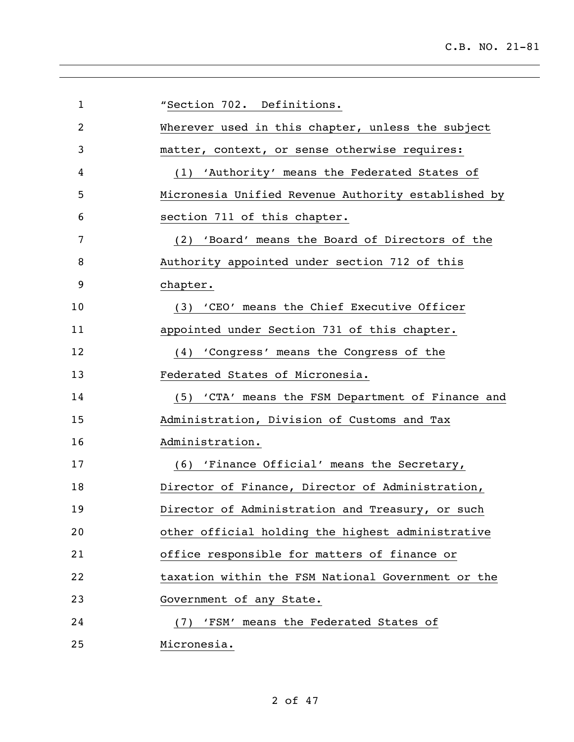| $\mathbf 1$    | "Section 702. Definitions.                          |
|----------------|-----------------------------------------------------|
| $\overline{2}$ | Wherever used in this chapter, unless the subject   |
| 3              | matter, context, or sense otherwise requires:       |
| 4              | (1) 'Authority' means the Federated States of       |
| 5              | Micronesia Unified Revenue Authority established by |
| 6              | section 711 of this chapter.                        |
| 7              | 'Board' means the Board of Directors of the<br>(2)  |
| 8              | Authority appointed under section 712 of this       |
| 9              | chapter.                                            |
| 10             | (3) 'CEO' means the Chief Executive Officer         |
| 11             | appointed under Section 731 of this chapter.        |
| 12             | (4) 'Congress' means the Congress of the            |
| 13             | Federated States of Micronesia.                     |
| 14             | (5) 'CTA' means the FSM Department of Finance and   |
| 15             | Administration, Division of Customs and Tax         |
| 16             | Administration.                                     |
| 17             | (6) 'Finance Official' means the Secretary,         |
| 18             | Director of Finance, Director of Administration,    |
| 19             | Director of Administration and Treasury, or such    |
| 20             | other official holding the highest administrative   |
| 21             | office responsible for matters of finance or        |
| 22             | taxation within the FSM National Government or the  |
| 23             | Government of any State.                            |
| 24             | 'FSM' means the Federated States of<br>(7)          |
| 25             | Micronesia.                                         |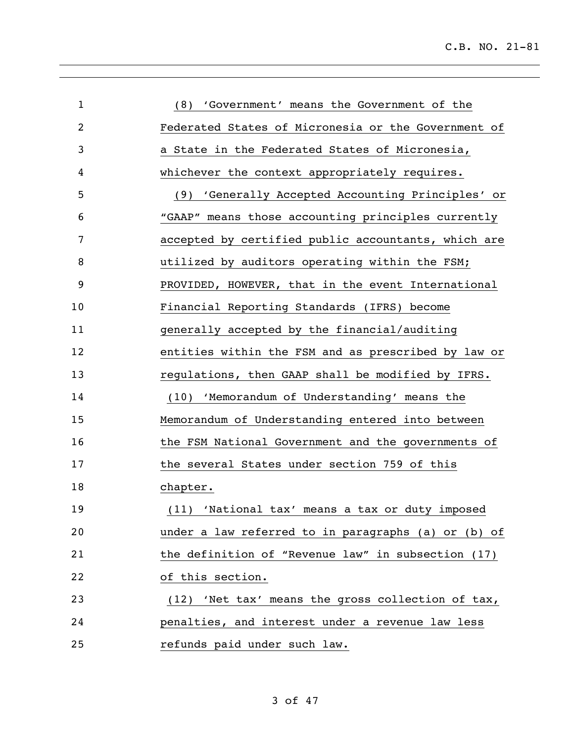| $\mathbf{1}$ | (8) 'Government' means the Government of the        |
|--------------|-----------------------------------------------------|
| 2            | Federated States of Micronesia or the Government of |
| 3            | a State in the Federated States of Micronesia,      |
| 4            | whichever the context appropriately requires.       |
| 5            | (9) 'Generally Accepted Accounting Principles' or   |
| 6            | "GAAP" means those accounting principles currently  |
| 7            | accepted by certified public accountants, which are |
| 8            | utilized by auditors operating within the FSM;      |
| 9            | PROVIDED, HOWEVER, that in the event International  |
| 10           | Financial Reporting Standards (IFRS) become         |
| 11           | generally accepted by the financial/auditing        |
| 12           | entities within the FSM and as prescribed by law or |
| 13           | regulations, then GAAP shall be modified by IFRS.   |
| 14           | (10) 'Memorandum of Understanding' means the        |
| 15           | Memorandum of Understanding entered into between    |
| 16           | the FSM National Government and the governments of  |
| 17           | the several States under section 759 of this        |
| 18           | chapter.                                            |
| 19           | (11) 'National tax' means a tax or duty imposed     |
| 20           | under a law referred to in paragraphs (a) or (b) of |
| 21           | the definition of "Revenue law" in subsection (17)  |
| 22           | of this section.                                    |
| 23           | (12) 'Net tax' means the gross collection of tax,   |
| 24           | penalties, and interest under a revenue law less    |
| 25           | refunds paid under such law.                        |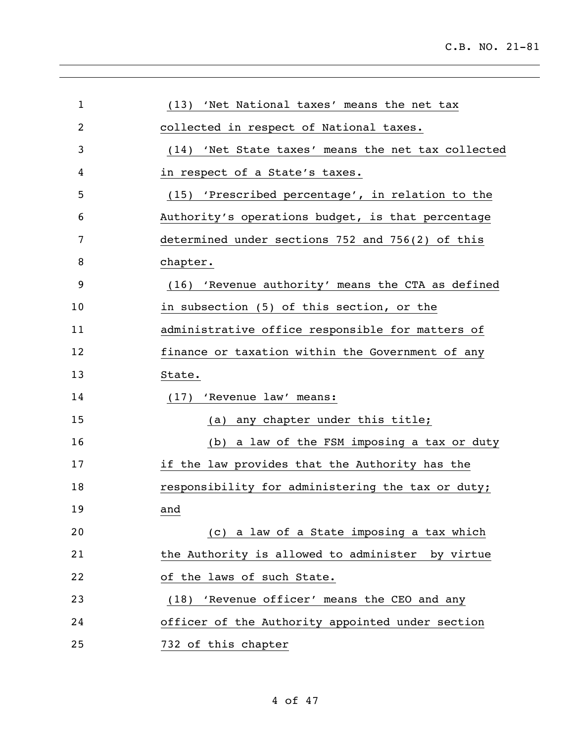| $\mathbf 1$ | (13) 'Net National taxes' means the net tax        |
|-------------|----------------------------------------------------|
| 2           | collected in respect of National taxes.            |
| 3           | (14) 'Net State taxes' means the net tax collected |
| 4           | in respect of a State's taxes.                     |
| 5           | (15) 'Prescribed percentage', in relation to the   |
| 6           | Authority's operations budget, is that percentage  |
| 7           | determined under sections 752 and 756(2) of this   |
| 8           | chapter.                                           |
| 9           | (16) 'Revenue authority' means the CTA as defined  |
| 10          | in subsection (5) of this section, or the          |
| 11          | administrative office responsible for matters of   |
| 12          | finance or taxation within the Government of any   |
| 13          | State.                                             |
| 14          | (17) 'Revenue law' means:                          |
| 15          | (a) any chapter under this title;                  |
| 16          | (b) a law of the FSM imposing a tax or duty        |
| 17          | if the law provides that the Authority has the     |
| 18          | responsibility for administering the tax or duty;  |
| 19          | and                                                |
| 20          | (c) a law of a State imposing a tax which          |
| 21          | the Authority is allowed to administer by virtue   |
| 22          | of the laws of such State.                         |
| 23          | 'Revenue officer' means the CEO and any<br>(18)    |
| 24          | officer of the Authority appointed under section   |
| 25          | 732 of this chapter                                |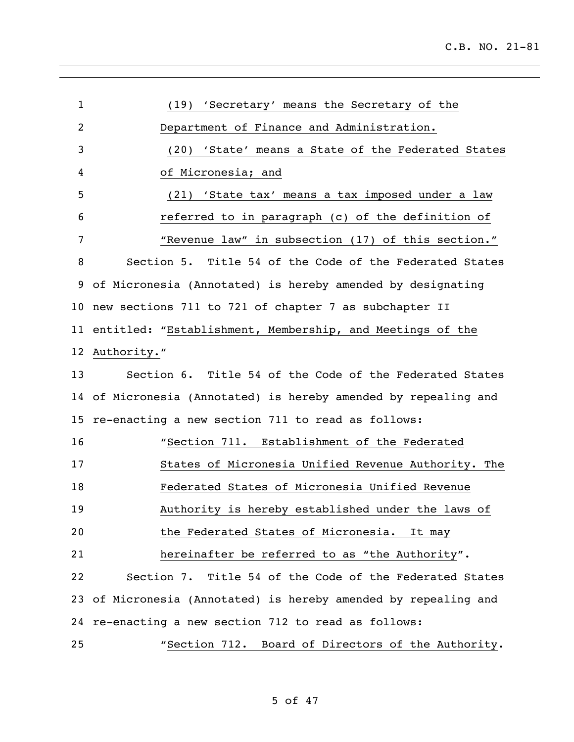| $\mathbf 1$     | (19) 'Secretary' means the Secretary of the                     |
|-----------------|-----------------------------------------------------------------|
| 2               | Department of Finance and Administration.                       |
| 3               | (20) 'State' means a State of the Federated States              |
| 4               | of Micronesia; and                                              |
| 5               | (21) 'State tax' means a tax imposed under a law                |
| 6               | referred to in paragraph (c) of the definition of               |
| 7               | "Revenue law" in subsection (17) of this section."              |
| 8               | Section 5. Title 54 of the Code of the Federated States         |
| 9               | of Micronesia (Annotated) is hereby amended by designating      |
|                 | 10 new sections 711 to 721 of chapter 7 as subchapter II        |
|                 | 11 entitled: "Establishment, Membership, and Meetings of the    |
|                 | 12 Authority."                                                  |
| 13              | Section 6. Title 54 of the Code of the Federated States         |
|                 | 14 of Micronesia (Annotated) is hereby amended by repealing and |
| 15 <sub>1</sub> | re-enacting a new section 711 to read as follows:               |
| 16              | "Section 711. Establishment of the Federated                    |
| 17              | States of Micronesia Unified Revenue Authority. The             |
| 18              | Federated States of Micronesia Unified Revenue                  |
| 19              | Authority is hereby established under the laws of               |
| 20              | the Federated States of Micronesia. It may                      |
| 21              | hereinafter be referred to as "the Authority".                  |
| 22              | Section 7. Title 54 of the Code of the Federated States         |
|                 | 23 of Micronesia (Annotated) is hereby amended by repealing and |
|                 | 24 re-enacting a new section 712 to read as follows:            |
| 25              | "Section 712. Board of Directors of the Authority.              |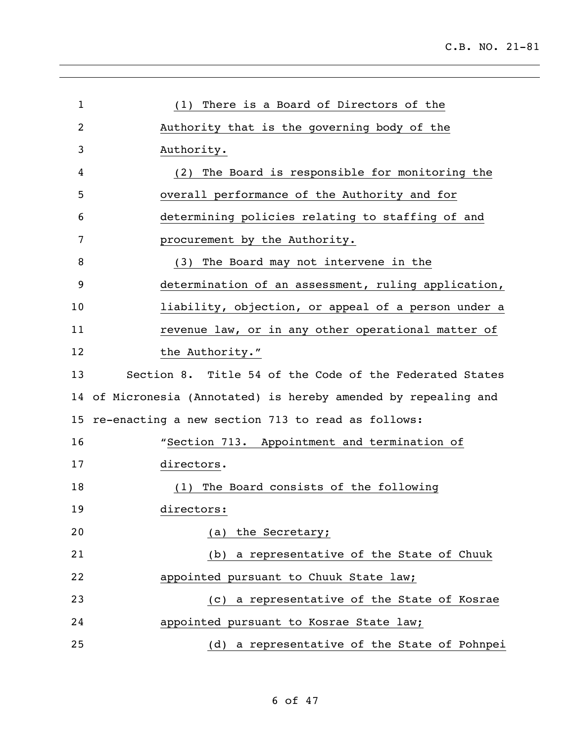| $\mathbf{1}$ | (1) There is a Board of Directors of the                     |
|--------------|--------------------------------------------------------------|
| 2            | Authority that is the governing body of the                  |
| 3            | Authority.                                                   |
| 4            | (2) The Board is responsible for monitoring the              |
| 5            | overall performance of the Authority and for                 |
| 6            | determining policies relating to staffing of and             |
| 7            | procurement by the Authority.                                |
| 8            | (3) The Board may not intervene in the                       |
| 9            | determination of an assessment, ruling application,          |
| 10           | liability, objection, or appeal of a person under a          |
| 11           | revenue law, or in any other operational matter of           |
| 12           | the Authority."                                              |
| 13           | Section 8. Title 54 of the Code of the Federated States      |
| 14           | of Micronesia (Annotated) is hereby amended by repealing and |
| 15           | re-enacting a new section 713 to read as follows:            |
| 16           | "Section 713. Appointment and termination of                 |
| 17           | directors.                                                   |
| 18           | (1) The Board consists of the following                      |
| 19           | directors:                                                   |
| 20           | (a) the Secretary;                                           |
| 21           | (b) a representative of the State of Chuuk                   |
| 22           | appointed pursuant to Chuuk State law;                       |
| 23           | (c) a representative of the State of Kosrae                  |
| 24           | appointed pursuant to Kosrae State law;                      |
| 25           | (d) a representative of the State of Pohnpei                 |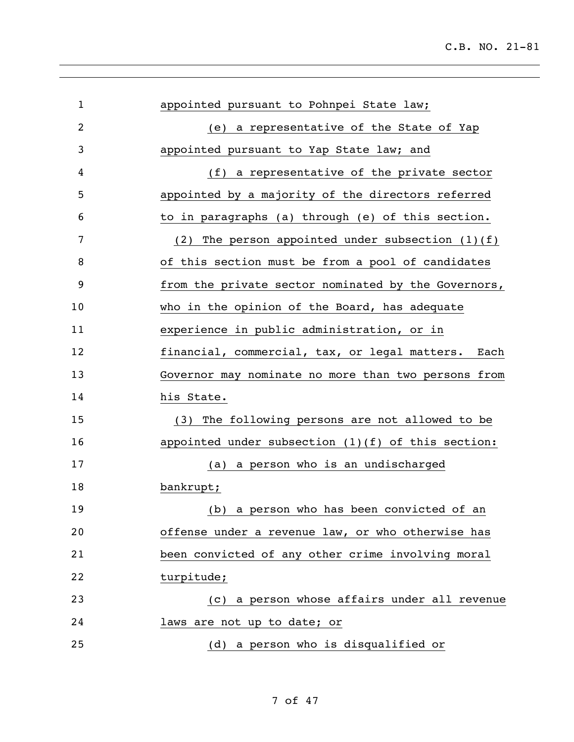| $\mathbf 1$ | appointed pursuant to Pohnpei State law;             |
|-------------|------------------------------------------------------|
| 2           | (e) a representative of the State of Yap             |
| 3           | appointed pursuant to Yap State law; and             |
| 4           | (f) a representative of the private sector           |
| 5           | appointed by a majority of the directors referred    |
| 6           | to in paragraphs (a) through (e) of this section.    |
| 7           | (2) The person appointed under subsection $(1)(f)$   |
| 8           | of this section must be from a pool of candidates    |
| 9           | from the private sector nominated by the Governors,  |
| 10          | who in the opinion of the Board, has adequate        |
| 11          | experience in public administration, or in           |
| 12          | financial, commercial, tax, or legal matters. Each   |
| 13          | Governor may nominate no more than two persons from  |
| 14          | his State.                                           |
| 15          | The following persons are not allowed to be<br>(3)   |
| 16          | appointed under subsection $(1)(f)$ of this section: |
| 17          | (a) a person who is an undischarged                  |
| 18          | bankrupt;                                            |
| 19          | (b) a person who has been convicted of an            |
| 20          | offense under a revenue law, or who otherwise has    |
| 21          | been convicted of any other crime involving moral    |
| 22          | turpitude;                                           |
| 23          | (c) a person whose affairs under all revenue         |
| 24          | laws are not up to date; or                          |
| 25          | (d) a person who is disqualified or                  |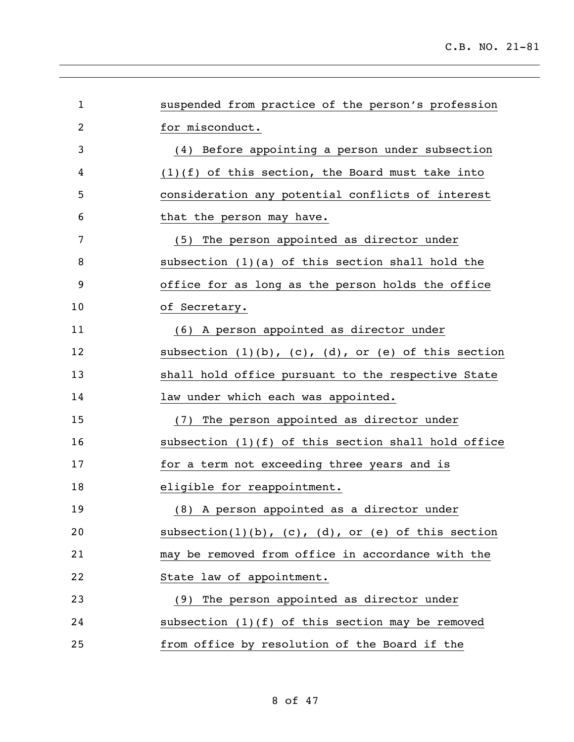| $\mathbf{1}$   | suspended from practice of the person's profession             |
|----------------|----------------------------------------------------------------|
| $\overline{2}$ | for misconduct.                                                |
| 3              | (4) Before appointing a person under subsection                |
| 4              | $(1)(f)$ of this section, the Board must take into             |
| 5              | consideration any potential conflicts of interest              |
| 6              | that the person may have.                                      |
| 7              | (5) The person appointed as director under                     |
| 8              | subsection $(1)(a)$ of this section shall hold the             |
| 9              | office for as long as the person holds the office              |
| 10             | of Secretary.                                                  |
| 11             | (6) A person appointed as director under                       |
| 12             | subsection $(1)(b)$ , $(c)$ , $(d)$ , or $(e)$ of this section |
| 13             | shall hold office pursuant to the respective State             |
| 14             | law under which each was appointed.                            |
| 15             | (7) The person appointed as director under                     |
| 16             | subsection $(1)(f)$ of this section shall hold office          |
| 17             | for a term not exceeding three years and is                    |
| 18             | eligible for reappointment.                                    |
| 19             | (8) A person appointed as a director under                     |
| 20             | subsection(1)(b), $(c)$ , $(d)$ , or $(e)$ of this section     |
| 21             | may be removed from office in accordance with the              |
| 22             | State law of appointment.                                      |
| 23             | (9) The person appointed as director under                     |
| 24             | subsection $(1)(f)$ of this section may be removed             |
| 25             | from office by resolution of the Board if the                  |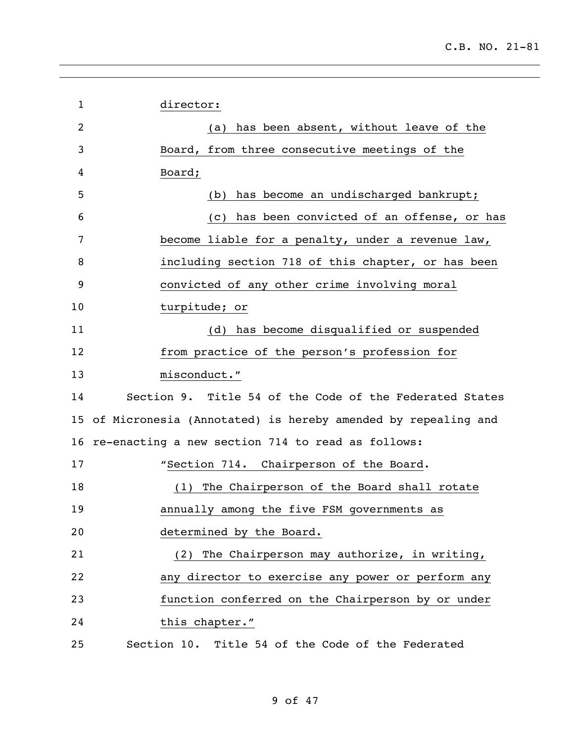| $\mathbf{1}$   | director:                                                       |
|----------------|-----------------------------------------------------------------|
| $\overline{2}$ | (a) has been absent, without leave of the                       |
| 3              | Board, from three consecutive meetings of the                   |
| 4              | Board;                                                          |
| 5              | (b) has become an undischarged bankrupt;                        |
| 6              | (c) has been convicted of an offense, or has                    |
| 7              | become liable for a penalty, under a revenue law,               |
| 8              | including section 718 of this chapter, or has been              |
| 9              | convicted of any other crime involving moral                    |
| 10             | turpitude; or                                                   |
| 11             | (d) has become disqualified or suspended                        |
| 12             | from practice of the person's profession for                    |
| 13             | misconduct."                                                    |
| 14             | Section 9. Title 54 of the Code of the Federated States         |
|                | 15 of Micronesia (Annotated) is hereby amended by repealing and |
| 16             | re-enacting a new section 714 to read as follows:               |
| 17             | "Section 714. Chairperson of the Board.                         |
| 18             | (1) The Chairperson of the Board shall rotate                   |
| 19             | annually among the five FSM governments as                      |
| 20             | determined by the Board.                                        |
| 21             | (2) The Chairperson may authorize, in writing,                  |
| 22             | any director to exercise any power or perform any               |
| 23             | function conferred on the Chairperson by or under               |
| 24             | this chapter."                                                  |
| 25             | Section 10. Title 54 of the Code of the Federated               |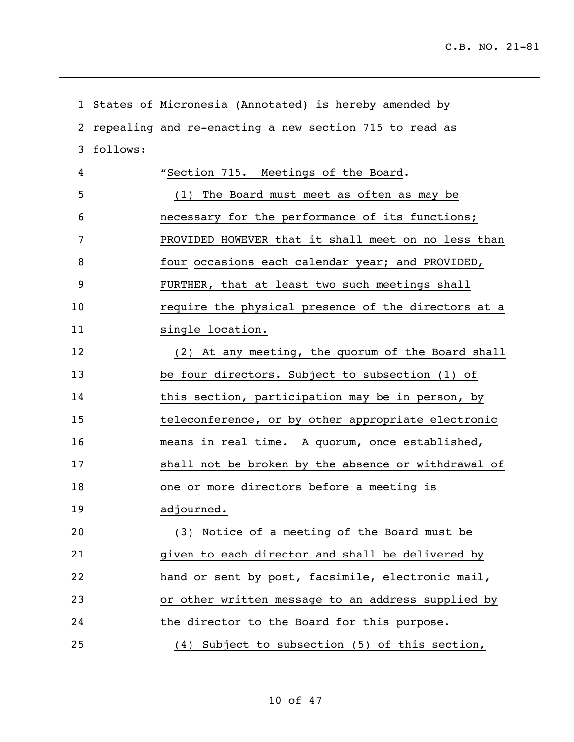|    |          | 1 States of Micronesia (Annotated) is hereby amended by |
|----|----------|---------------------------------------------------------|
| 2  |          | repealing and re-enacting a new section 715 to read as  |
| 3  | follows: |                                                         |
| 4  |          | "Section 715. Meetings of the Board.                    |
| 5  |          | (1) The Board must meet as often as may be              |
| 6  |          | necessary for the performance of its functions;         |
| 7  |          | PROVIDED HOWEVER that it shall meet on no less than     |
| 8  |          | four occasions each calendar year; and PROVIDED,        |
| 9  |          | FURTHER, that at least two such meetings shall          |
| 10 |          | require the physical presence of the directors at a     |
| 11 |          | single location.                                        |
| 12 |          | (2) At any meeting, the quorum of the Board shall       |
| 13 |          | be four directors. Subject to subsection (1) of         |
| 14 |          | this section, participation may be in person, by        |
| 15 |          | teleconference, or by other appropriate electronic      |
| 16 |          | means in real time. A quorum, once established,         |
| 17 |          | shall not be broken by the absence or withdrawal of     |
| 18 |          | one or more directors before a meeting is               |
| 19 |          | adjourned.                                              |
| 20 |          | (3) Notice of a meeting of the Board must be            |
| 21 |          | given to each director and shall be delivered by        |
| 22 |          | hand or sent by post, facsimile, electronic mail,       |
| 23 |          | or other written message to an address supplied by      |
| 24 |          | the director to the Board for this purpose.             |
| 25 |          | (4) Subject to subsection (5) of this section,          |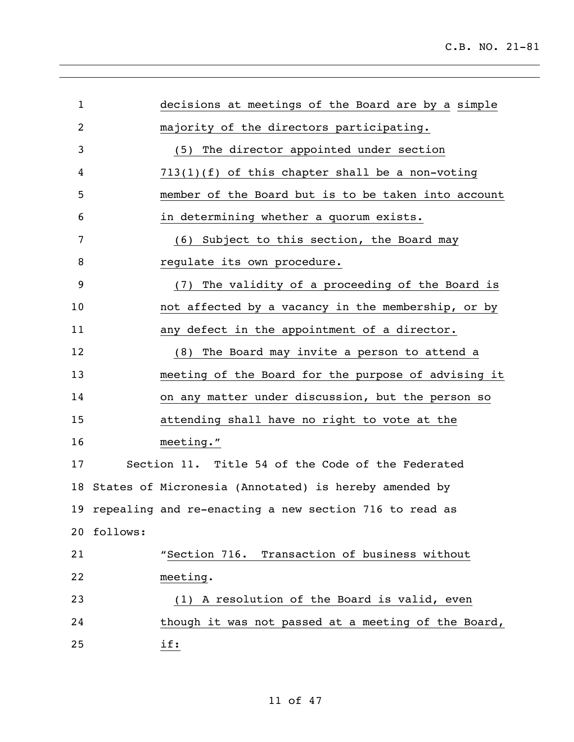| $\mathbf{1}$ |           | decisions at meetings of the Board are by a simple     |
|--------------|-----------|--------------------------------------------------------|
| 2            |           | majority of the directors participating.               |
| 3            |           | (5) The director appointed under section               |
| 4            |           | $713(1)(f)$ of this chapter shall be a non-voting      |
| 5            |           | member of the Board but is to be taken into account    |
| 6            |           | in determining whether a quorum exists.                |
| 7            |           | (6) Subject to this section, the Board may             |
| 8            |           | regulate its own procedure.                            |
| 9            |           | (7) The validity of a proceeding of the Board is       |
| 10           |           | not affected by a vacancy in the membership, or by     |
| 11           |           | any defect in the appointment of a director.           |
| 12           |           | (8) The Board may invite a person to attend a          |
| 13           |           | meeting of the Board for the purpose of advising it    |
| 14           |           | on any matter under discussion, but the person so      |
| 15           |           | attending shall have no right to vote at the           |
| 16           | meeting." |                                                        |
| 17           |           | Section 11. Title 54 of the Code of the Federated      |
| 18           |           | States of Micronesia (Annotated) is hereby amended by  |
| 19           |           | repealing and re-enacting a new section 716 to read as |
| 20           | follows:  |                                                        |
| 21           |           | "Section 716. Transaction of business without          |
| 22           | meeting.  |                                                        |
| 23           |           | (1) A resolution of the Board is valid, even           |
| 24           |           | though it was not passed at a meeting of the Board,    |
| 25           | if:       |                                                        |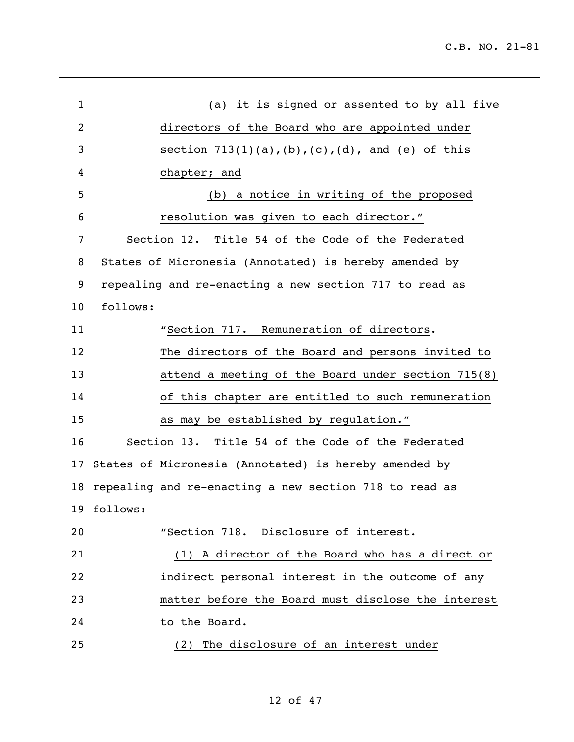| $\mathbf{1}$ | (a) it is signed or assented to by all five            |
|--------------|--------------------------------------------------------|
| 2            | directors of the Board who are appointed under         |
| 3            | section $713(1)(a)$ , (b), (c), (d), and (e) of this   |
| 4            | chapter; and                                           |
| 5            | (b) a notice in writing of the proposed                |
| 6            | resolution was given to each director."                |
| 7            | Section 12. Title 54 of the Code of the Federated      |
| 8            | States of Micronesia (Annotated) is hereby amended by  |
| 9            | repealing and re-enacting a new section 717 to read as |
| 10           | follows:                                               |
| 11           | "Section 717. Remuneration of directors.               |
| 12           | The directors of the Board and persons invited to      |
| 13           | attend a meeting of the Board under section 715(8)     |
| 14           | of this chapter are entitled to such remuneration      |
| 15           | as may be established by regulation."                  |
| 16           | Section 13. Title 54 of the Code of the Federated      |
| 17           | States of Micronesia (Annotated) is hereby amended by  |
| 18           | repealing and re-enacting a new section 718 to read as |
|              | 19 follows:                                            |
| 20           | "Section 718. Disclosure of interest.                  |
| 21           | (1) A director of the Board who has a direct or        |
| 22           | indirect personal interest in the outcome of any       |
| 23           | matter before the Board must disclose the interest     |
| 24           | to the Board.                                          |
| 25           | The disclosure of an interest under<br>(2)             |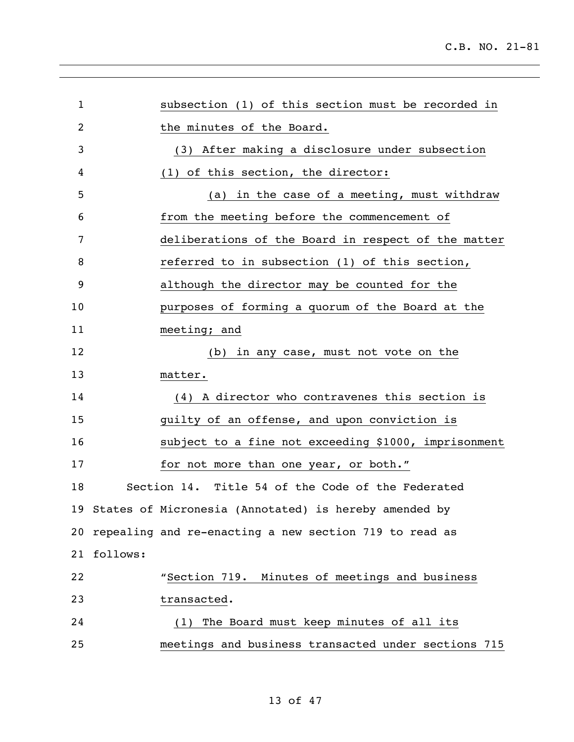| $\mathbf{1}$ | subsection (1) of this section must be recorded in        |
|--------------|-----------------------------------------------------------|
| 2            | the minutes of the Board.                                 |
|              |                                                           |
| 3            | (3) After making a disclosure under subsection            |
| 4            | (1) of this section, the director:                        |
| 5            | (a) in the case of a meeting, must withdraw               |
| 6            | from the meeting before the commencement of               |
| 7            | deliberations of the Board in respect of the matter       |
| 8            | referred to in subsection (1) of this section,            |
| 9            | although the director may be counted for the              |
| 10           | purposes of forming a quorum of the Board at the          |
| 11           | meeting; and                                              |
| 12           | (b) in any case, must not vote on the                     |
| 13           | matter.                                                   |
| 14           | (4) A director who contravenes this section is            |
| 15           | guilty of an offense, and upon conviction is              |
| 16           | subject to a fine not exceeding \$1000, imprisonment      |
| 17           | for not more than one year, or both."                     |
| 18           | Section 14. Title 54 of the Code of the Federated         |
|              | 19 States of Micronesia (Annotated) is hereby amended by  |
|              | 20 repealing and re-enacting a new section 719 to read as |
| 21           | follows:                                                  |
| 22           | "Section 719. Minutes of meetings and business            |
| 23           | transacted.                                               |
| 24           | (1) The Board must keep minutes of all its                |
| 25           | meetings and business transacted under sections 715       |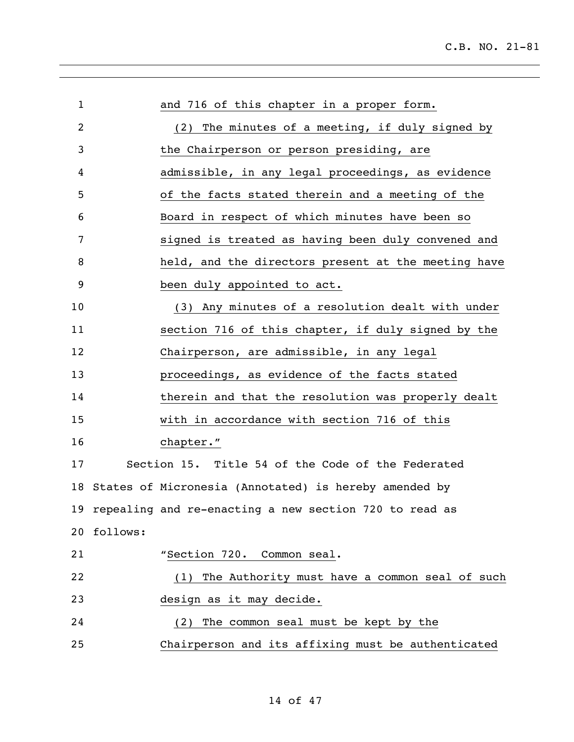| $\mathbf 1$ |          | and 716 of this chapter in a proper form.                 |
|-------------|----------|-----------------------------------------------------------|
| 2           |          | (2) The minutes of a meeting, if duly signed by           |
| 3           |          | the Chairperson or person presiding, are                  |
| 4           |          | admissible, in any legal proceedings, as evidence         |
| 5           |          | of the facts stated therein and a meeting of the          |
| 6           |          | Board in respect of which minutes have been so            |
| 7           |          | signed is treated as having been duly convened and        |
| 8           |          | held, and the directors present at the meeting have       |
| 9           |          | been duly appointed to act.                               |
| 10          |          | (3) Any minutes of a resolution dealt with under          |
| 11          |          | section 716 of this chapter, if duly signed by the        |
| 12          |          | Chairperson, are admissible, in any legal                 |
| 13          |          | proceedings, as evidence of the facts stated              |
| 14          |          | therein and that the resolution was properly dealt        |
| 15          |          | with in accordance with section 716 of this               |
| 16          |          | chapter."                                                 |
| 17          |          | Section 15. Title 54 of the Code of the Federated         |
| 18          |          | States of Micronesia (Annotated) is hereby amended by     |
|             |          | 19 repealing and re-enacting a new section 720 to read as |
| 20          | follows: |                                                           |
| 21          |          | "Section 720. Common seal.                                |
| 22          |          | The Authority must have a common seal of such<br>(1)      |
| 23          |          | design as it may decide.                                  |
| 24          |          | (2) The common seal must be kept by the                   |
| 25          |          | Chairperson and its affixing must be authenticated        |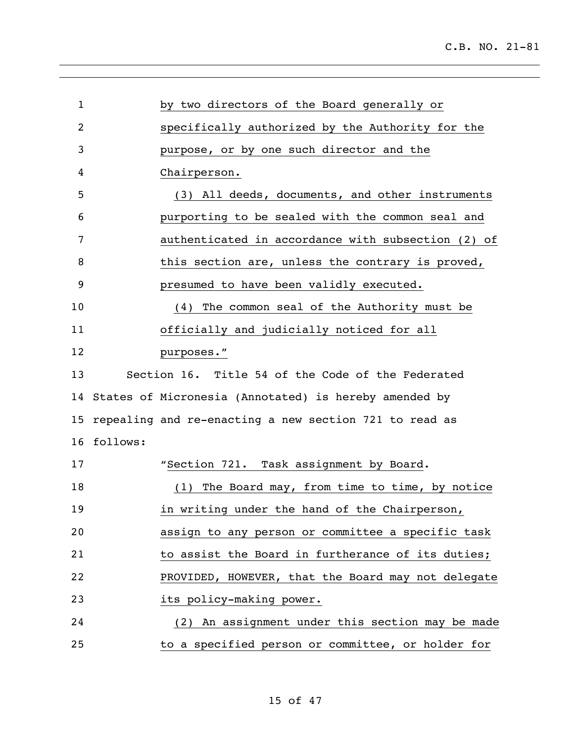| $\mathbf 1$ | by two directors of the Board generally or               |
|-------------|----------------------------------------------------------|
| 2           | specifically authorized by the Authority for the         |
| 3           | purpose, or by one such director and the                 |
| 4           | Chairperson.                                             |
| 5           | (3) All deeds, documents, and other instruments          |
| 6           | purporting to be sealed with the common seal and         |
| 7           | authenticated in accordance with subsection (2) of       |
| 8           | this section are, unless the contrary is proved,         |
| 9           | presumed to have been validly executed.                  |
| 10          | (4) The common seal of the Authority must be             |
| 11          | officially and judicially noticed for all                |
| 12          | purposes."                                               |
| 13          | Section 16. Title 54 of the Code of the Federated        |
|             | 14 States of Micronesia (Annotated) is hereby amended by |
| 15          | repealing and re-enacting a new section 721 to read as   |
| 16          | follows:                                                 |
| 17          | "Section 721. Task assignment by Board.                  |
| 18          | (1) The Board may, from time to time, by notice          |
| 19          | in writing under the hand of the Chairperson,            |
| 20          | assign to any person or committee a specific task        |
| 21          | to assist the Board in furtherance of its duties;        |
| 22          | PROVIDED, HOWEVER, that the Board may not delegate       |
| 23          | its policy-making power.                                 |
| 24          | (2) An assignment under this section may be made         |
| 25          | to a specified person or committee, or holder for        |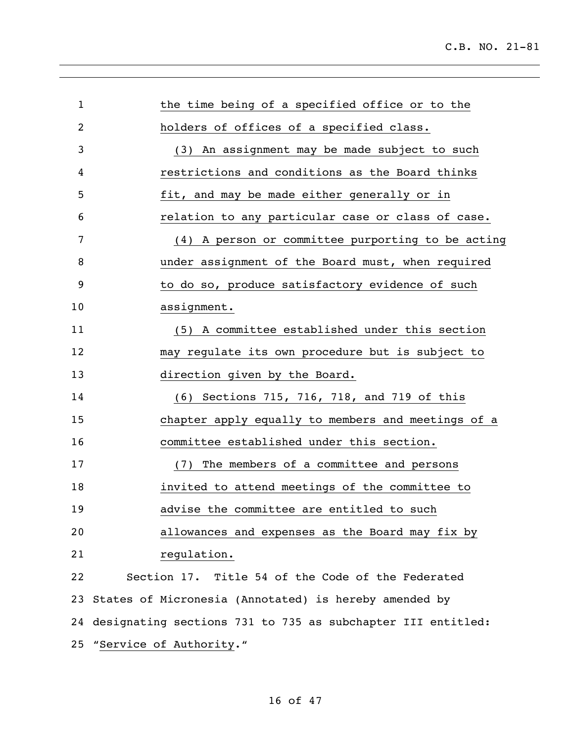| $\mathbf 1$ | the time being of a specified office or to the                 |
|-------------|----------------------------------------------------------------|
| 2           | holders of offices of a specified class.                       |
| 3           | (3) An assignment may be made subject to such                  |
| 4           | restrictions and conditions as the Board thinks                |
| 5           | fit, and may be made either generally or in                    |
| 6           | relation to any particular case or class of case.              |
| 7           | (4) A person or committee purporting to be acting              |
| 8           | under assignment of the Board must, when required              |
| 9           | to do so, produce satisfactory evidence of such                |
| 10          | assignment.                                                    |
| 11          | (5) A committee established under this section                 |
| 12          | may regulate its own procedure but is subject to               |
| 13          | direction given by the Board.                                  |
| 14          | (6) Sections 715, 716, 718, and 719 of this                    |
| 15          | chapter apply equally to members and meetings of a             |
| 16          | committee established under this section.                      |
| 17          | The members of a committee and persons<br>(7)                  |
| 18          | invited to attend meetings of the committee to                 |
| 19          | advise the committee are entitled to such                      |
| 20          | allowances and expenses as the Board may fix by                |
| 21          | regulation.                                                    |
| 22          | Section 17. Title 54 of the Code of the Federated              |
|             | 23 States of Micronesia (Annotated) is hereby amended by       |
|             | 24 designating sections 731 to 735 as subchapter III entitled: |
|             | 25 "Service of Authority."                                     |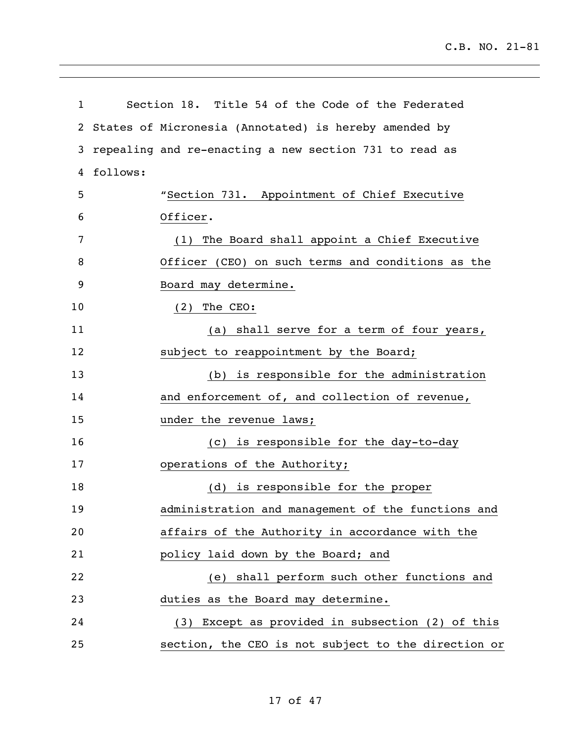| $\mathbf{1}$   |          | Section 18. Title 54 of the Code of the Federated      |
|----------------|----------|--------------------------------------------------------|
| $\overline{2}$ |          | States of Micronesia (Annotated) is hereby amended by  |
| 3              |          | repealing and re-enacting a new section 731 to read as |
| 4              | follows: |                                                        |
| 5              |          | "Section 731. Appointment of Chief Executive           |
| 6              |          | Officer.                                               |
| 7              |          | (1) The Board shall appoint a Chief Executive          |
| 8              |          | Officer (CEO) on such terms and conditions as the      |
| 9              |          | Board may determine.                                   |
| 10             |          | $(2)$ The CEO:                                         |
| 11             |          | (a) shall serve for a term of four years,              |
| 12             |          | subject to reappointment by the Board;                 |
| 13             |          | (b) is responsible for the administration              |
| 14             |          | and enforcement of, and collection of revenue,         |
| 15             |          | under the revenue laws;                                |
| 16             |          | (c) is responsible for the day-to-day                  |
| 17             |          | operations of the Authority;                           |
| 18             |          | (d) is responsible for the proper                      |
| 19             |          | administration and management of the functions and     |
| 20             |          | affairs of the Authority in accordance with the        |
| 21             |          | policy laid down by the Board; and                     |
| 22             |          | (e) shall perform such other functions and             |
| 23             |          | duties as the Board may determine.                     |
| 24             |          | (3) Except as provided in subsection (2) of this       |
| 25             |          | section, the CEO is not subject to the direction or    |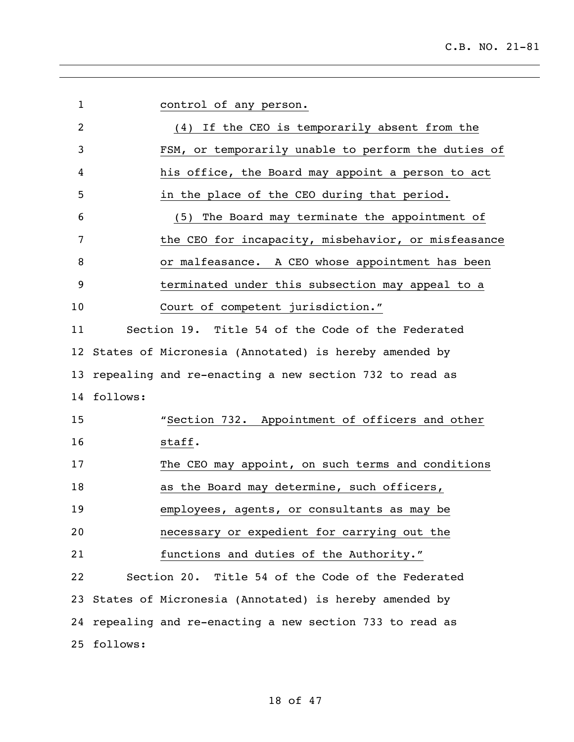| $\mathbf{1}$ |             | control of any person.                                    |
|--------------|-------------|-----------------------------------------------------------|
| 2            |             | (4) If the CEO is temporarily absent from the             |
| 3            |             | FSM, or temporarily unable to perform the duties of       |
| 4            |             | his office, the Board may appoint a person to act         |
| 5            |             | in the place of the CEO during that period.               |
| 6            |             | (5) The Board may terminate the appointment of            |
| 7            |             | the CEO for incapacity, misbehavior, or misfeasance       |
| 8            |             | or malfeasance. A CEO whose appointment has been          |
| 9            |             | terminated under this subsection may appeal to a          |
| 10           |             | Court of competent jurisdiction."                         |
| 11           |             | Section 19. Title 54 of the Code of the Federated         |
| 12           |             | States of Micronesia (Annotated) is hereby amended by     |
| 13           |             | repealing and re-enacting a new section 732 to read as    |
| 14           | follows:    |                                                           |
| 15           |             | "Section 732. Appointment of officers and other           |
| 16           |             | staff.                                                    |
| 17           |             | The CEO may appoint, on such terms and conditions         |
| 18           |             | as the Board may determine, such officers,                |
| 19           |             | employees, agents, or consultants as may be               |
| 20           |             | necessary or expedient for carrying out the               |
| 21           |             | functions and duties of the Authority."                   |
| 22           |             | Section 20. Title 54 of the Code of the Federated         |
|              |             | 23 States of Micronesia (Annotated) is hereby amended by  |
|              |             | 24 repealing and re-enacting a new section 733 to read as |
|              | 25 follows: |                                                           |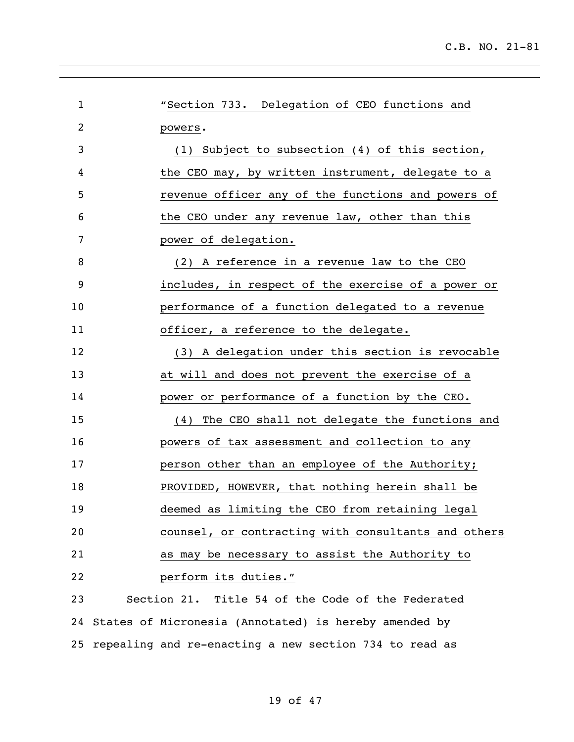| $\mathbf{1}$   | "Section 733. Delegation of CEO functions and            |
|----------------|----------------------------------------------------------|
| $\overline{2}$ | powers.                                                  |
| 3              | (1) Subject to subsection $(4)$ of this section,         |
| 4              | the CEO may, by written instrument, delegate to a        |
| 5              | revenue officer any of the functions and powers of       |
| 6              | the CEO under any revenue law, other than this           |
| 7              | power of delegation.                                     |
| 8              | (2) A reference in a revenue law to the CEO              |
| 9              | includes, in respect of the exercise of a power or       |
| 10             | performance of a function delegated to a revenue         |
| 11             | officer, a reference to the delegate.                    |
| 12             | (3) A delegation under this section is revocable         |
| 13             | at will and does not prevent the exercise of a           |
| 14             | power or performance of a function by the CEO.           |
| 15             | The CEO shall not delegate the functions and<br>(4)      |
| 16             | powers of tax assessment and collection to any           |
| 17             | person other than an employee of the Authority;          |
| 18             | PROVIDED, HOWEVER, that nothing herein shall be          |
| 19             | deemed as limiting the CEO from retaining legal          |
| 20             | counsel, or contracting with consultants and others      |
| 21             | as may be necessary to assist the Authority to           |
| 22             | perform its duties."                                     |
| 23             | Section 21. Title 54 of the Code of the Federated        |
|                | 24 States of Micronesia (Annotated) is hereby amended by |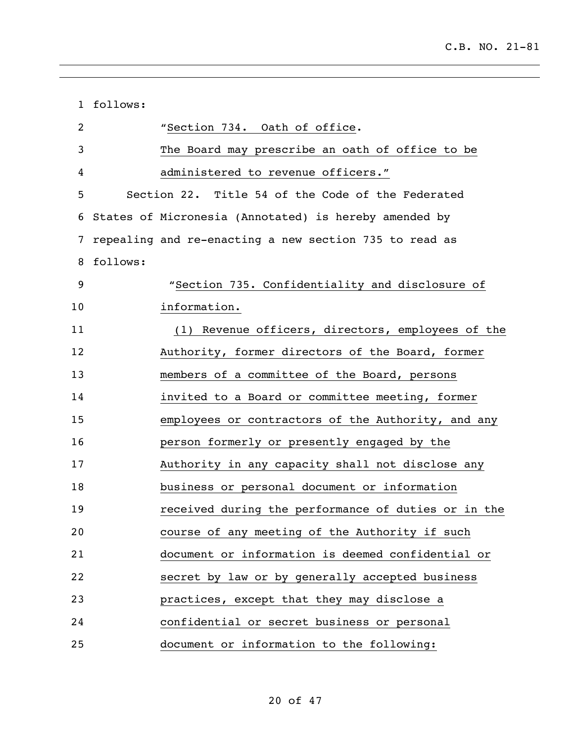|                | 1 follows:                                             |
|----------------|--------------------------------------------------------|
| $\overline{2}$ | "Section 734. Oath of office.                          |
| 3              | The Board may prescribe an oath of office to be        |
| 4              | administered to revenue officers."                     |
| 5              | Section 22. Title 54 of the Code of the Federated      |
| 6              | States of Micronesia (Annotated) is hereby amended by  |
| 7              | repealing and re-enacting a new section 735 to read as |
| 8              | follows:                                               |
| 9              | "Section 735. Confidentiality and disclosure of        |
| 10             | information.                                           |
| 11             | (1) Revenue officers, directors, employees of the      |
| 12             | Authority, former directors of the Board, former       |
| 13             | members of a committee of the Board, persons           |
| 14             | invited to a Board or committee meeting, former        |
| 15             | employees or contractors of the Authority, and any     |
| 16             | person formerly or presently engaged by the            |
| 17             | Authority in any capacity shall not disclose any       |
| 18             | business or personal document or information           |
| 19             | received during the performance of duties or in the    |
| 20             | course of any meeting of the Authority if such         |
| 21             | document or information is deemed confidential or      |
| 22             | secret by law or by generally accepted business        |
| 23             | practices, except that they may disclose a             |
| 24             | confidential or secret business or personal            |
| 25             | document or information to the following:              |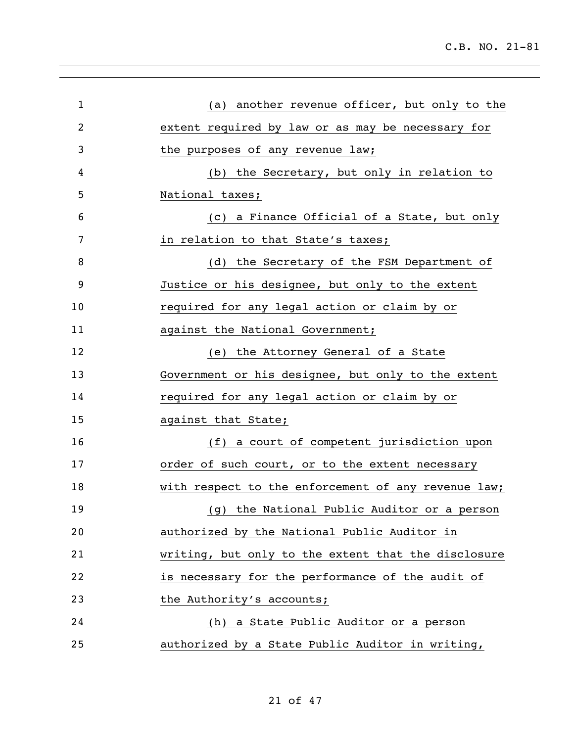| $\mathbf{1}$ | (a) another revenue officer, but only to the        |
|--------------|-----------------------------------------------------|
| 2            | extent required by law or as may be necessary for   |
| 3            | the purposes of any revenue law;                    |
| 4            | (b) the Secretary, but only in relation to          |
| 5            | National taxes;                                     |
| 6            | (c) a Finance Official of a State, but only         |
| 7            | in relation to that State's taxes;                  |
| 8            | (d) the Secretary of the FSM Department of          |
| 9            | Justice or his designee, but only to the extent     |
| 10           | required for any legal action or claim by or        |
| 11           | against the National Government;                    |
| 12           | (e) the Attorney General of a State                 |
| 13           | Government or his designee, but only to the extent  |
| 14           | required for any legal action or claim by or        |
| 15           | against that State;                                 |
| 16           | (f) a court of competent jurisdiction upon          |
| 17           | order of such court, or to the extent necessary     |
| 18           | with respect to the enforcement of any revenue law; |
| 19           | (g) the National Public Auditor or a person         |
| 20           | authorized by the National Public Auditor in        |
| 21           | writing, but only to the extent that the disclosure |
| 22           | is necessary for the performance of the audit of    |
| 23           | the Authority's accounts;                           |
| 24           | (h) a State Public Auditor or a person              |
| 25           | authorized by a State Public Auditor in writing,    |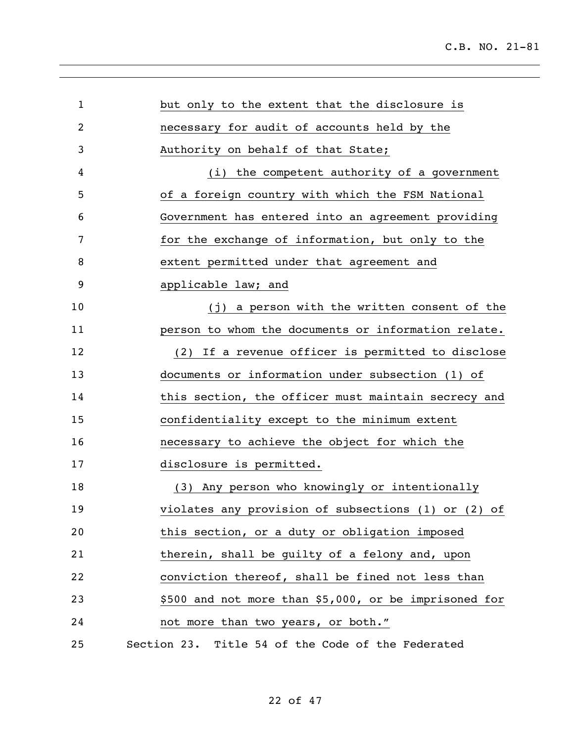| $\mathbf{1}$ | but only to the extent that the disclosure is         |
|--------------|-------------------------------------------------------|
| 2            | necessary for audit of accounts held by the           |
| 3            | Authority on behalf of that State;                    |
| 4            | (i) the competent authority of a government           |
| 5            | of a foreign country with which the FSM National      |
| 6            | Government has entered into an agreement providing    |
| 7            | for the exchange of information, but only to the      |
| 8            | extent permitted under that agreement and             |
| 9            | applicable law; and                                   |
| 10           | (j) a person with the written consent of the          |
| 11           | person to whom the documents or information relate.   |
| 12           | (2) If a revenue officer is permitted to disclose     |
| 13           | documents or information under subsection (1) of      |
| 14           | this section, the officer must maintain secrecy and   |
| 15           | confidentiality except to the minimum extent          |
| 16           | necessary to achieve the object for which the         |
| 17           | disclosure is permitted.                              |
| 18           | (3) Any person who knowingly or intentionally         |
| 19           | violates any provision of subsections (1) or (2) of   |
| 20           | this section, or a duty or obligation imposed         |
| 21           | therein, shall be guilty of a felony and, upon        |
| 22           | conviction thereof, shall be fined not less than      |
| 23           | \$500 and not more than \$5,000, or be imprisoned for |
| 24           | not more than two years, or both."                    |
| 25           | Section 23. Title 54 of the Code of the Federated     |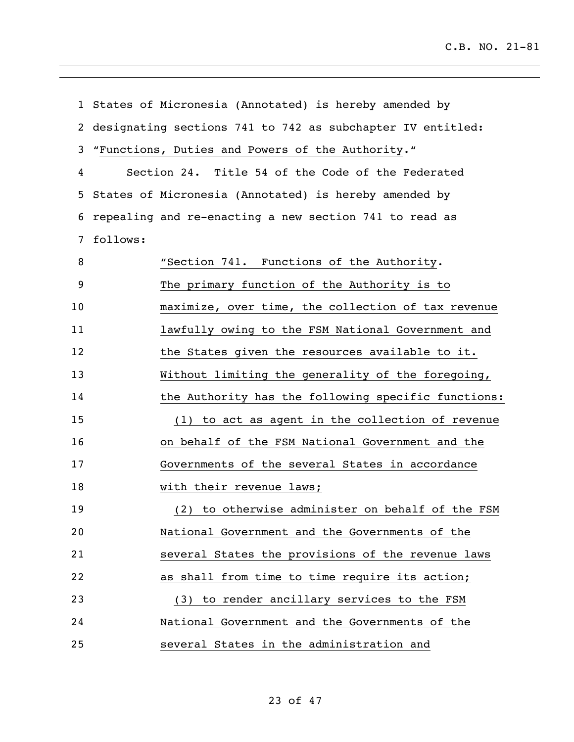|    |          | 1 States of Micronesia (Annotated) is hereby amended by    |
|----|----------|------------------------------------------------------------|
| 2  |          | designating sections 741 to 742 as subchapter IV entitled: |
| 3  |          | "Functions, Duties and Powers of the Authority."           |
| 4  |          | Section 24. Title 54 of the Code of the Federated          |
| 5  |          | States of Micronesia (Annotated) is hereby amended by      |
| 6  |          | repealing and re-enacting a new section 741 to read as     |
| 7  | follows: |                                                            |
| 8  |          | "Section 741. Functions of the Authority.                  |
| 9  |          | The primary function of the Authority is to                |
| 10 |          | maximize, over time, the collection of tax revenue         |
| 11 |          | lawfully owing to the FSM National Government and          |
| 12 |          | the States given the resources available to it.            |
| 13 |          | Without limiting the generality of the foregoing,          |
| 14 |          | the Authority has the following specific functions:        |
| 15 |          | (1) to act as agent in the collection of revenue           |
| 16 |          | on behalf of the FSM National Government and the           |
| 17 |          | Governments of the several States in accordance            |
| 18 |          | with their revenue laws;                                   |
| 19 |          | (2) to otherwise administer on behalf of the FSM           |
| 20 |          | National Government and the Governments of the             |
| 21 |          | several States the provisions of the revenue laws          |
| 22 |          | as shall from time to time require its action;             |
| 23 |          | (3) to render ancillary services to the FSM                |
| 24 |          | National Government and the Governments of the             |
| 25 |          | several States in the administration and                   |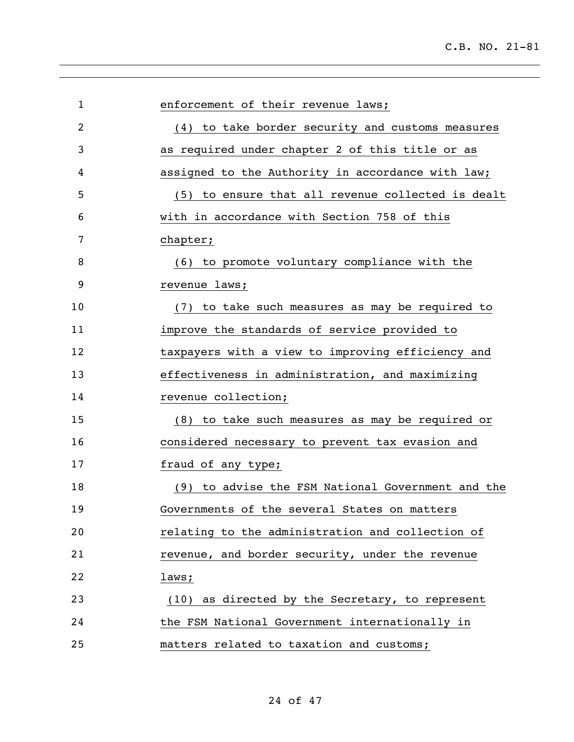| $\mathbf{1}$   | enforcement of their revenue laws;                |
|----------------|---------------------------------------------------|
| $\overline{2}$ | (4) to take border security and customs measures  |
| 3              | as required under chapter 2 of this title or as   |
| 4              | assigned to the Authority in accordance with law; |
| 5              | (5) to ensure that all revenue collected is dealt |
| 6              | with in accordance with Section 758 of this       |
| 7              | chapter;                                          |
| 8              | (6) to promote voluntary compliance with the      |
| 9              | revenue laws;                                     |
| 10             | (7) to take such measures as may be required to   |
| 11             | improve the standards of service provided to      |
| 12             | taxpayers with a view to improving efficiency and |
| 13             | effectiveness in administration, and maximizing   |
| 14             | revenue collection;                               |
| 15             | (8) to take such measures as may be required or   |
| 16             | considered necessary to prevent tax evasion and   |
| 17             | fraud of any type;                                |
| 18             | (9) to advise the FSM National Government and the |
| 19             | Governments of the several States on matters      |
| 20             | relating to the administration and collection of  |
| 21             | revenue, and border security, under the revenue   |
| 22             | laws;                                             |
| 23             | (10) as directed by the Secretary, to represent   |
| 24             | the FSM National Government internationally in    |
| 25             | matters related to taxation and customs;          |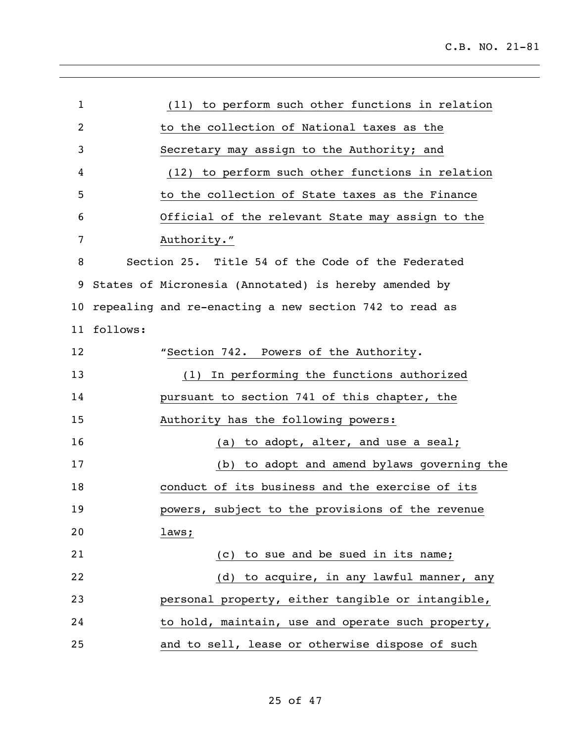| $\mathbf{1}$ |          | (11) to perform such other functions in relation       |
|--------------|----------|--------------------------------------------------------|
| 2            |          | to the collection of National taxes as the             |
| 3            |          | Secretary may assign to the Authority; and             |
| 4            |          | (12) to perform such other functions in relation       |
| 5            |          | to the collection of State taxes as the Finance        |
| 6            |          | Official of the relevant State may assign to the       |
| 7            |          | Authority."                                            |
| 8            |          | Section 25. Title 54 of the Code of the Federated      |
| 9            |          | States of Micronesia (Annotated) is hereby amended by  |
| 10           |          | repealing and re-enacting a new section 742 to read as |
| 11           | follows: |                                                        |
| 12           |          | "Section 742. Powers of the Authority.                 |
| 13           |          | (1) In performing the functions authorized             |
| 14           |          | pursuant to section 741 of this chapter, the           |
| 15           |          | Authority has the following powers:                    |
| 16           |          | to adopt, alter, and use a seal;<br>(a)                |
| 17           |          | to adopt and amend bylaws governing the<br>(b)         |
| 18           |          | conduct of its business and the exercise of its        |
| 19           |          | powers, subject to the provisions of the revenue       |
| 20           |          | laws;                                                  |
| 21           |          | (c) to sue and be sued in its name;                    |
| 22           |          | (d) to acquire, in any lawful manner, any              |
| 23           |          | personal property, either tangible or intangible,      |
| 24           |          | to hold, maintain, use and operate such property,      |
| 25           |          | and to sell, lease or otherwise dispose of such        |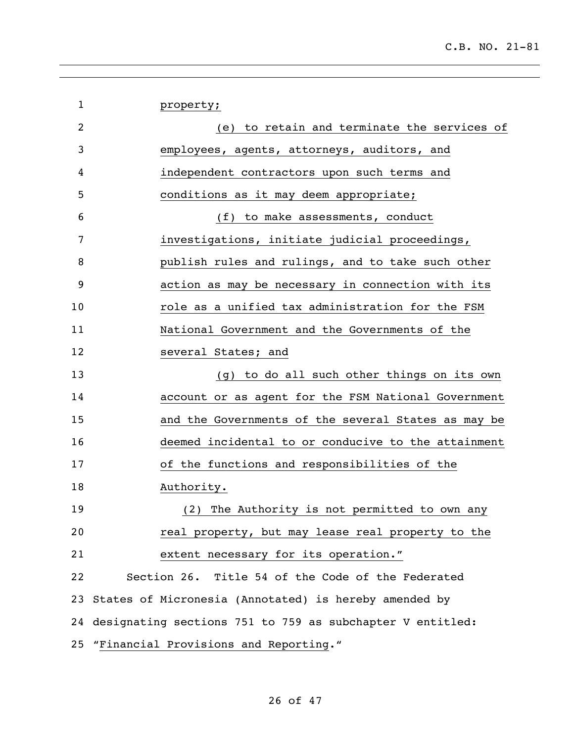| $\mathbf{1}$   | property;                                                    |
|----------------|--------------------------------------------------------------|
| $\overline{2}$ | (e) to retain and terminate the services of                  |
| 3              | employees, agents, attorneys, auditors, and                  |
| 4              | independent contractors upon such terms and                  |
| 5              | conditions as it may deem appropriate;                       |
| 6              | (f) to make assessments, conduct                             |
| 7              | investigations, initiate judicial proceedings,               |
| 8              | publish rules and rulings, and to take such other            |
| 9              | action as may be necessary in connection with its            |
| 10             | role as a unified tax administration for the FSM             |
| 11             | National Government and the Governments of the               |
| 12             | several States; and                                          |
| 13             | (g) to do all such other things on its own                   |
| 14             | account or as agent for the FSM National Government          |
| 15             | and the Governments of the several States as may be          |
| 16             | deemed incidental to or conducive to the attainment          |
| 17             | of the functions and responsibilities of the                 |
| 18             | Authority.                                                   |
| 19             | (2) The Authority is not permitted to own any                |
| 20             | real property, but may lease real property to the            |
| 21             | extent necessary for its operation."                         |
| 22             | Section 26. Title 54 of the Code of the Federated            |
|                | 23 States of Micronesia (Annotated) is hereby amended by     |
|                | 24 designating sections 751 to 759 as subchapter V entitled: |
|                | 25 "Financial Provisions and Reporting."                     |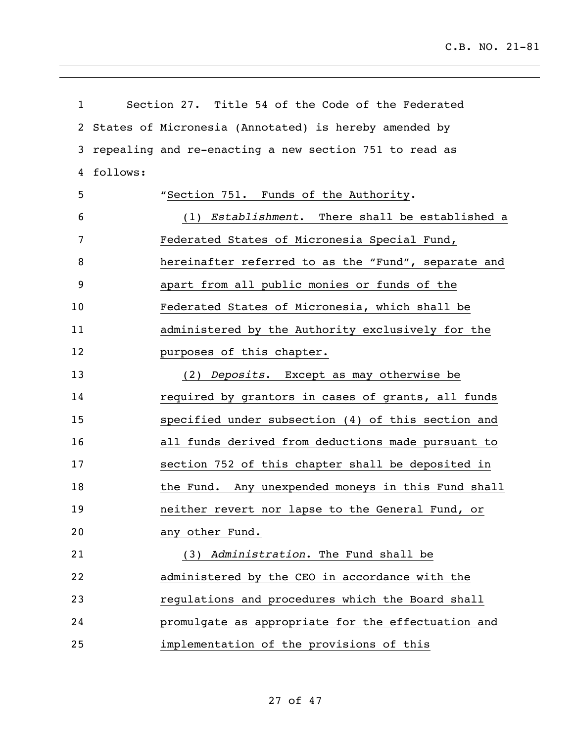| 1              |          | Section 27. Title 54 of the Code of the Federated      |
|----------------|----------|--------------------------------------------------------|
| $\overline{2}$ |          | States of Micronesia (Annotated) is hereby amended by  |
| 3              |          | repealing and re-enacting a new section 751 to read as |
| 4              | follows: |                                                        |
| 5              |          | "Section 751. Funds of the Authority.                  |
| 6              |          | (1) Establishment. There shall be established a        |
| 7              |          | Federated States of Micronesia Special Fund,           |
| 8              |          | hereinafter referred to as the "Fund", separate and    |
| 9              |          | apart from all public monies or funds of the           |
| 10             |          | Federated States of Micronesia, which shall be         |
| 11             |          | administered by the Authority exclusively for the      |
| 12             |          | purposes of this chapter.                              |
| 13             |          | (2) Deposits. Except as may otherwise be               |
| 14             |          | required by grantors in cases of grants, all funds     |
| 15             |          | specified under subsection (4) of this section and     |
| 16             |          | all funds derived from deductions made pursuant to     |
| 17             |          | section 752 of this chapter shall be deposited in      |
| 18             |          | the Fund. Any unexpended moneys in this Fund shall     |
| 19             |          | neither revert nor lapse to the General Fund, or       |
| 20             |          | any other Fund.                                        |
| 21             |          | (3) Administration. The Fund shall be                  |
| 22             |          | administered by the CEO in accordance with the         |
| 23             |          | regulations and procedures which the Board shall       |
| 24             |          | promulgate as appropriate for the effectuation and     |
| 25             |          | implementation of the provisions of this               |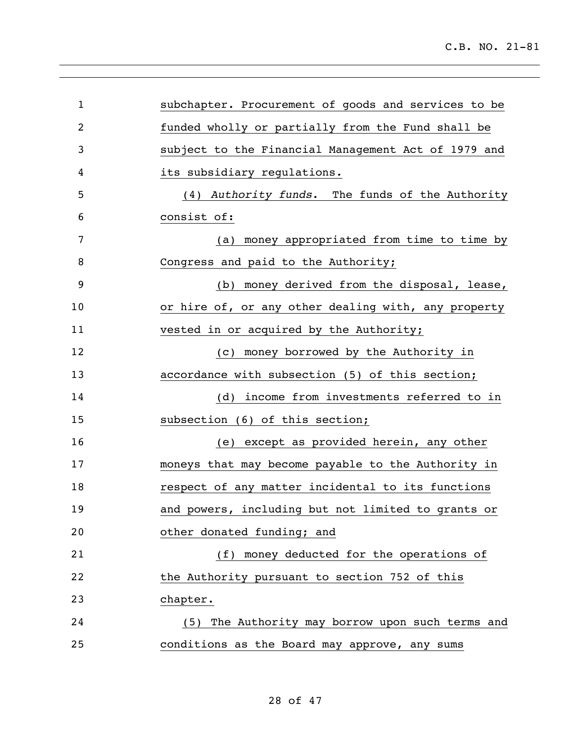| $\mathbf{1}$   | subchapter. Procurement of goods and services to be |
|----------------|-----------------------------------------------------|
| $\overline{2}$ | funded wholly or partially from the Fund shall be   |
| 3              | subject to the Financial Management Act of 1979 and |
| 4              | its subsidiary regulations.                         |
| 5              | (4) Authority funds. The funds of the Authority     |
| 6              | consist of:                                         |
| 7              | money appropriated from time to time by<br>(a)      |
| 8              | Congress and paid to the Authority;                 |
| 9              | money derived from the disposal, lease,<br>(b)      |
| 10             | or hire of, or any other dealing with, any property |
| 11             | vested in or acquired by the Authority;             |
| 12             | (c) money borrowed by the Authority in              |
| 13             | accordance with subsection (5) of this section;     |
| 14             | income from investments referred to in<br>(d)       |
| 15             | subsection (6) of this section;                     |
| 16             | (e) except as provided herein, any other            |
| 17             | moneys that may become payable to the Authority in  |
| 18             | respect of any matter incidental to its functions   |
| 19             | and powers, including but not limited to grants or  |
| 20             | other donated funding; and                          |
| 21             | (f) money deducted for the operations of            |
| 22             | the Authority pursuant to section 752 of this       |
| 23             | chapter.                                            |
| 24             | (5) The Authority may borrow upon such terms and    |
| 25             | conditions as the Board may approve, any sums       |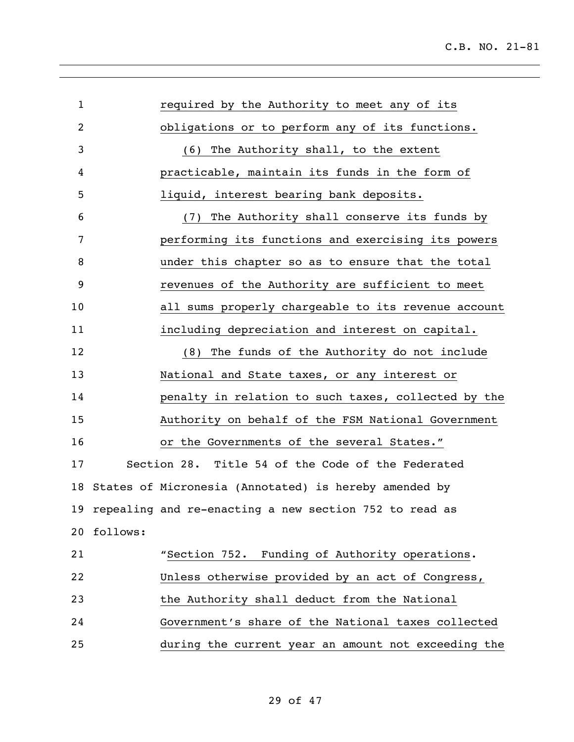| $\mathbf{1}$ | required by the Authority to meet any of its              |
|--------------|-----------------------------------------------------------|
| 2            | obligations or to perform any of its functions.           |
| 3            | (6) The Authority shall, to the extent                    |
| 4            | practicable, maintain its funds in the form of            |
| 5            | liquid, interest bearing bank deposits.                   |
| 6            | (7) The Authority shall conserve its funds by             |
| 7            | performing its functions and exercising its powers        |
| 8            | under this chapter so as to ensure that the total         |
| 9            | revenues of the Authority are sufficient to meet          |
| 10           | all sums properly chargeable to its revenue account       |
| 11           | including depreciation and interest on capital.           |
| 12           | (8) The funds of the Authority do not include             |
| 13           | National and State taxes, or any interest or              |
| 14           | penalty in relation to such taxes, collected by the       |
| 15           | Authority on behalf of the FSM National Government        |
| 16           | or the Governments of the several States."                |
| 17           | Section 28. Title 54 of the Code of the Federated         |
| 18           | States of Micronesia (Annotated) is hereby amended by     |
|              | 19 repealing and re-enacting a new section 752 to read as |
| 20           | follows:                                                  |
| 21           | "Section 752. Funding of Authority operations.            |
| 22           | Unless otherwise provided by an act of Congress,          |
| 23           | the Authority shall deduct from the National              |
| 24           | Government's share of the National taxes collected        |
| 25           | during the current year an amount not exceeding the       |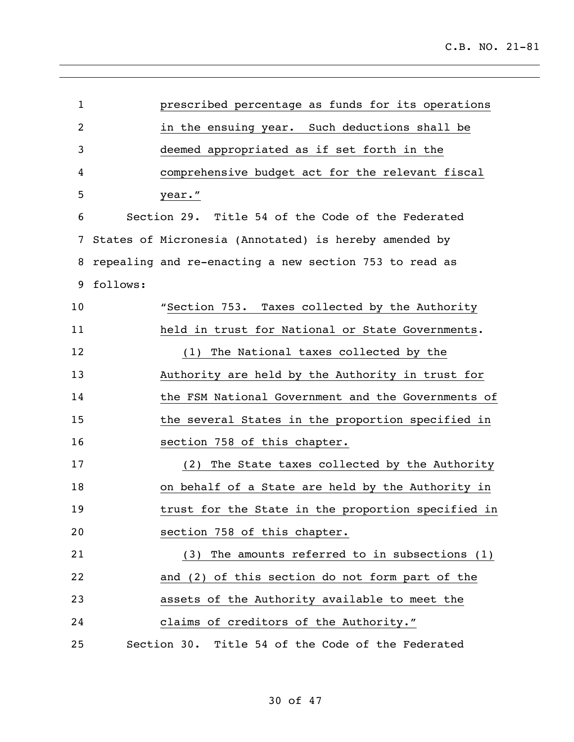| $\mathbf{1}$ |          | prescribed percentage as funds for its operations      |
|--------------|----------|--------------------------------------------------------|
| 2            |          | in the ensuing year. Such deductions shall be          |
| 3            |          | deemed appropriated as if set forth in the             |
| 4            |          | comprehensive budget act for the relevant fiscal       |
| 5            |          | year."                                                 |
| 6            |          | Section 29. Title 54 of the Code of the Federated      |
| 7            |          | States of Micronesia (Annotated) is hereby amended by  |
| 8            |          | repealing and re-enacting a new section 753 to read as |
| 9            | follows: |                                                        |
| 10           |          | "Section 753. Taxes collected by the Authority         |
| 11           |          | held in trust for National or State Governments.       |
| 12           |          | (1) The National taxes collected by the                |
| 13           |          | Authority are held by the Authority in trust for       |
| 14           |          | the FSM National Government and the Governments of     |
| 15           |          | the several States in the proportion specified in      |
| 16           |          | section 758 of this chapter.                           |
| 17           |          | The State taxes collected by the Authority<br>(2)      |
| 18           |          | on behalf of a State are held by the Authority in      |
| 19           |          | trust for the State in the proportion specified in     |
| 20           |          | section 758 of this chapter.                           |
| 21           |          | The amounts referred to in subsections (1)<br>(3)      |
| 22           |          | and (2) of this section do not form part of the        |
| 23           |          | assets of the Authority available to meet the          |
| 24           |          | claims of creditors of the Authority."                 |
| 25           |          | Section 30. Title 54 of the Code of the Federated      |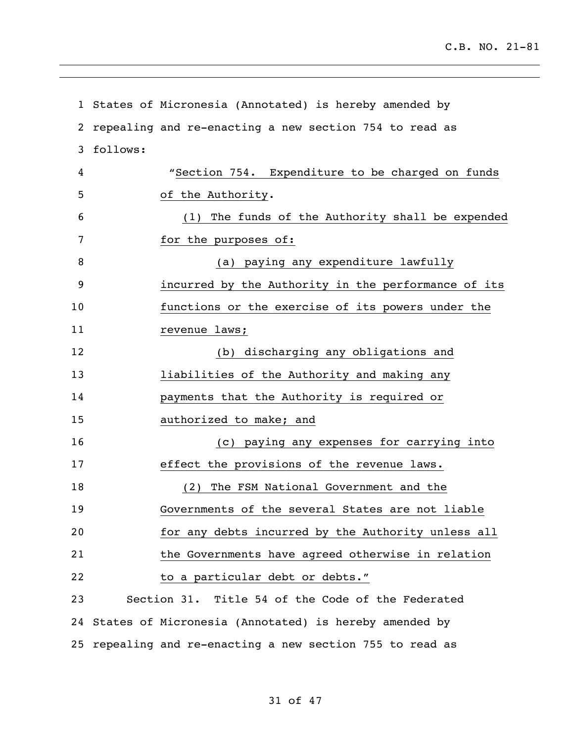|    |          | 1 States of Micronesia (Annotated) is hereby amended by |
|----|----------|---------------------------------------------------------|
| 2  |          | repealing and re-enacting a new section 754 to read as  |
| 3  | follows: |                                                         |
| 4  |          | "Section 754. Expenditure to be charged on funds        |
| 5  |          | of the Authority.                                       |
| 6  |          | (1) The funds of the Authority shall be expended        |
| 7  |          | for the purposes of:                                    |
| 8  |          | (a) paying any expenditure lawfully                     |
| 9  |          | incurred by the Authority in the performance of its     |
| 10 |          | functions or the exercise of its powers under the       |
| 11 |          | revenue laws;                                           |
| 12 |          | (b) discharging any obligations and                     |
| 13 |          | liabilities of the Authority and making any             |
| 14 |          | payments that the Authority is required or              |
| 15 |          | authorized to make; and                                 |
| 16 |          | (c) paying any expenses for carrying into               |
| 17 |          | effect the provisions of the revenue laws.              |
| 18 |          | The FSM National Government and the<br>(2)              |
| 19 |          | Governments of the several States are not liable        |
| 20 |          | for any debts incurred by the Authority unless all      |
| 21 |          | the Governments have agreed otherwise in relation       |
| 22 |          | to a particular debt or debts."                         |
| 23 |          | Section 31. Title 54 of the Code of the Federated       |
| 24 |          | States of Micronesia (Annotated) is hereby amended by   |
| 25 |          | repealing and re-enacting a new section 755 to read as  |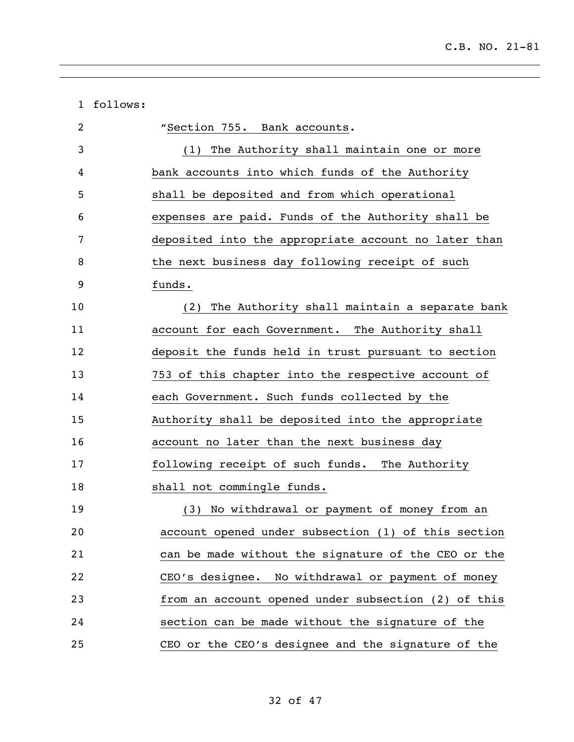| 1  | follows: |                                                      |
|----|----------|------------------------------------------------------|
| 2  |          | "Section 755. Bank accounts.                         |
| 3  |          | (1) The Authority shall maintain one or more         |
| 4  |          | bank accounts into which funds of the Authority      |
| 5  |          | shall be deposited and from which operational        |
| 6  |          | expenses are paid. Funds of the Authority shall be   |
| 7  |          | deposited into the appropriate account no later than |
| 8  |          | the next business day following receipt of such      |
| 9  |          | funds.                                               |
| 10 |          | The Authority shall maintain a separate bank<br>(2)  |
| 11 |          | account for each Government. The Authority shall     |
| 12 |          | deposit the funds held in trust pursuant to section  |
| 13 |          | 753 of this chapter into the respective account of   |
| 14 |          | each Government. Such funds collected by the         |
| 15 |          | Authority shall be deposited into the appropriate    |
| 16 |          | account no later than the next business day          |
| 17 |          | following receipt of such funds. The Authority       |
| 18 |          | shall not commingle funds.                           |
| 19 |          | (3) No withdrawal or payment of money from an        |
| 20 |          | account opened under subsection (1) of this section  |
| 21 |          | can be made without the signature of the CEO or the  |
| 22 |          | CEO's designee. No withdrawal or payment of money    |
| 23 |          | from an account opened under subsection (2) of this  |
| 24 |          | section can be made without the signature of the     |
| 25 |          | CEO or the CEO's designee and the signature of the   |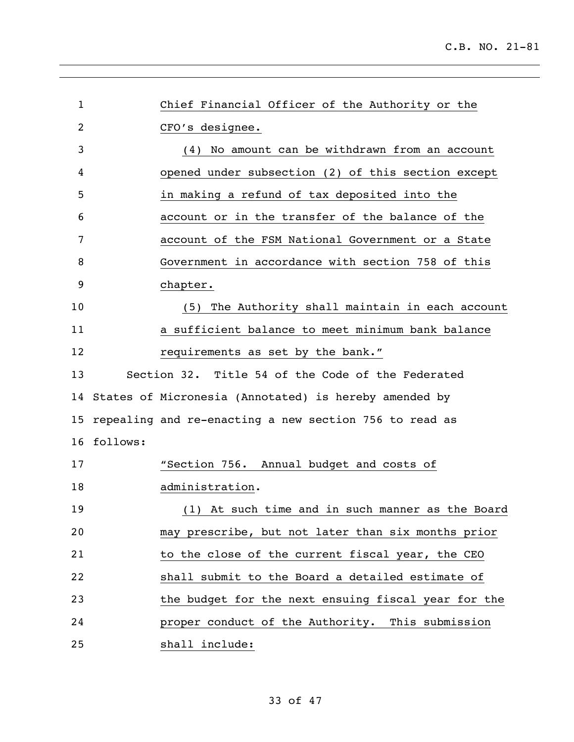| $\mathbf 1$     |             | Chief Financial Officer of the Authority or the          |
|-----------------|-------------|----------------------------------------------------------|
| 2               |             | CFO's designee.                                          |
| 3               |             | (4) No amount can be withdrawn from an account           |
| 4               |             | opened under subsection (2) of this section except       |
| 5               |             | in making a refund of tax deposited into the             |
| 6               |             | account or in the transfer of the balance of the         |
| 7               |             | account of the FSM National Government or a State        |
| 8               |             | Government in accordance with section 758 of this        |
| 9               |             | chapter.                                                 |
| 10              |             | (5) The Authority shall maintain in each account         |
| 11              |             | a sufficient balance to meet minimum bank balance        |
| 12              |             | requirements as set by the bank."                        |
| 13              |             | Section 32. Title 54 of the Code of the Federated        |
|                 |             | 14 States of Micronesia (Annotated) is hereby amended by |
| 15 <sub>2</sub> |             | repealing and re-enacting a new section 756 to read as   |
|                 | 16 follows: |                                                          |
| 17              |             | "Section 756. Annual budget and costs of                 |
| 18              |             | administration.                                          |
| 19              |             | (1) At such time and in such manner as the Board         |
| 20              |             | may prescribe, but not later than six months prior       |
| 21              |             | to the close of the current fiscal year, the CEO         |
| 22              |             | shall submit to the Board a detailed estimate of         |
| 23              |             | the budget for the next ensuing fiscal year for the      |
| 24              |             | proper conduct of the Authority. This submission         |
| 25              |             | shall include:                                           |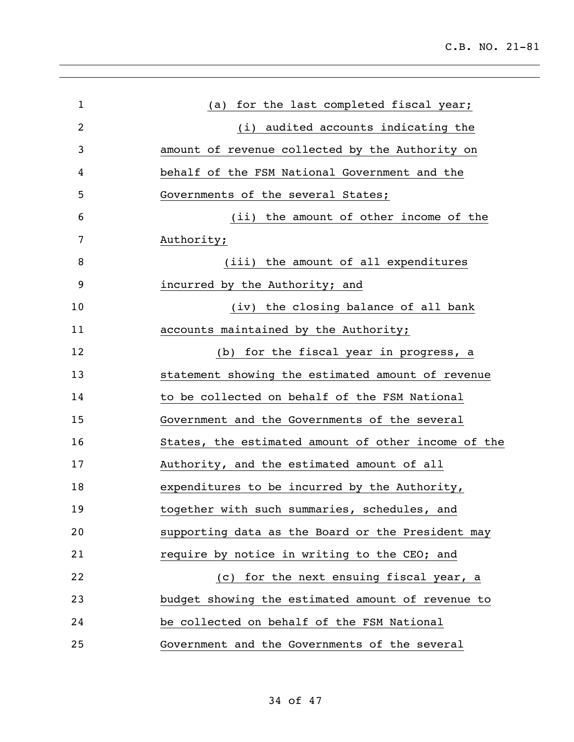| $\mathbf{1}$ | (a) for the last completed fiscal year;             |
|--------------|-----------------------------------------------------|
| 2            | (i) audited accounts indicating the                 |
| 3            | amount of revenue collected by the Authority on     |
| 4            | behalf of the FSM National Government and the       |
| 5            | Governments of the several States;                  |
| 6            | (ii) the amount of other income of the              |
| 7            | Authority;                                          |
| 8            | (iii) the amount of all expenditures                |
| 9            | incurred by the Authority; and                      |
| 10           | (iv) the closing balance of all bank                |
| 11           | accounts maintained by the Authority;               |
| 12           | (b) for the fiscal year in progress, a              |
| 13           | statement showing the estimated amount of revenue   |
| 14           | to be collected on behalf of the FSM National       |
| 15           | Government and the Governments of the several       |
| 16           | States, the estimated amount of other income of the |
| 17           | Authority, and the estimated amount of all          |
| 18           | expenditures to be incurred by the Authority,       |
| 19           | together with such summaries, schedules, and        |
| 20           | supporting data as the Board or the President may   |
| 21           | require by notice in writing to the CEO; and        |
| 22           | (c) for the next ensuing fiscal year, a             |
| 23           | budget showing the estimated amount of revenue to   |
| 24           | be collected on behalf of the FSM National          |
| 25           | Government and the Governments of the several       |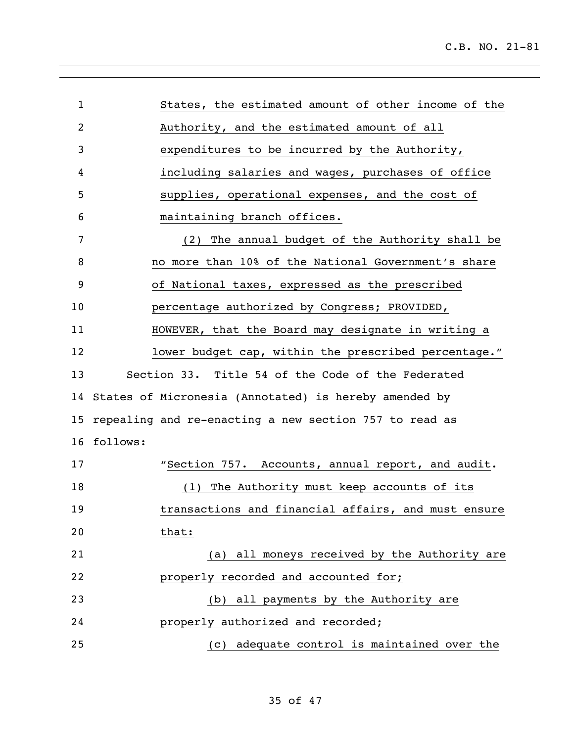| $\mathbf{1}$    | States, the estimated amount of other income of the      |
|-----------------|----------------------------------------------------------|
| $\overline{c}$  | Authority, and the estimated amount of all               |
| 3               | expenditures to be incurred by the Authority,            |
| 4               | including salaries and wages, purchases of office        |
| 5               | supplies, operational expenses, and the cost of          |
| 6               | maintaining branch offices.                              |
| 7               | (2) The annual budget of the Authority shall be          |
| 8               | no more than 10% of the National Government's share      |
| 9               | of National taxes, expressed as the prescribed           |
| 10              | percentage authorized by Congress; PROVIDED,             |
| 11              | HOWEVER, that the Board may designate in writing a       |
| 12              | lower budget cap, within the prescribed percentage."     |
| 13              | Section 33. Title 54 of the Code of the Federated        |
|                 | 14 States of Micronesia (Annotated) is hereby amended by |
| 15 <sub>2</sub> | repealing and re-enacting a new section 757 to read as   |
| 16              | follows:                                                 |
| 17              | "Section 757. Accounts, annual report, and audit.        |
| 18              | (1) The Authority must keep accounts of its              |
| 19              | transactions and financial affairs, and must ensure      |
| 20              | that:                                                    |
| 21              | (a) all moneys received by the Authority are             |
| 22              | properly recorded and accounted for;                     |
| 23              | (b) all payments by the Authority are                    |
| 24              | properly authorized and recorded;                        |
| 25              | (c) adequate control is maintained over the              |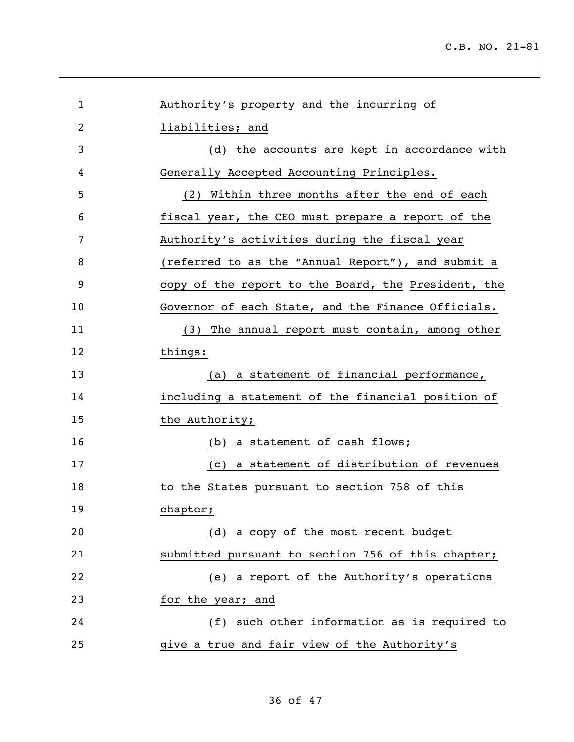| Authority's property and the incurring of           |
|-----------------------------------------------------|
| liabilities; and                                    |
| (d) the accounts are kept in accordance with        |
| Generally Accepted Accounting Principles.           |
| (2) Within three months after the end of each       |
| fiscal year, the CEO must prepare a report of the   |
| Authority's activities during the fiscal year       |
| (referred to as the "Annual Report"), and submit a  |
| copy of the report to the Board, the President, the |
| Governor of each State, and the Finance Officials.  |
| (3) The annual report must contain, among other     |
| things:                                             |
| (a) a statement of financial performance,           |
| including a statement of the financial position of  |
| the Authority;                                      |
| (b) a statement of cash flows;                      |
| (c) a statement of distribution of revenues         |
| to the States pursuant to section 758 of this       |
| chapter;                                            |
| (d) a copy of the most recent budget                |
| submitted pursuant to section 756 of this chapter;  |
| (e) a report of the Authority's operations          |
| for the year; and                                   |
| (f) such other information as is required to        |
| give a true and fair view of the Authority's        |
|                                                     |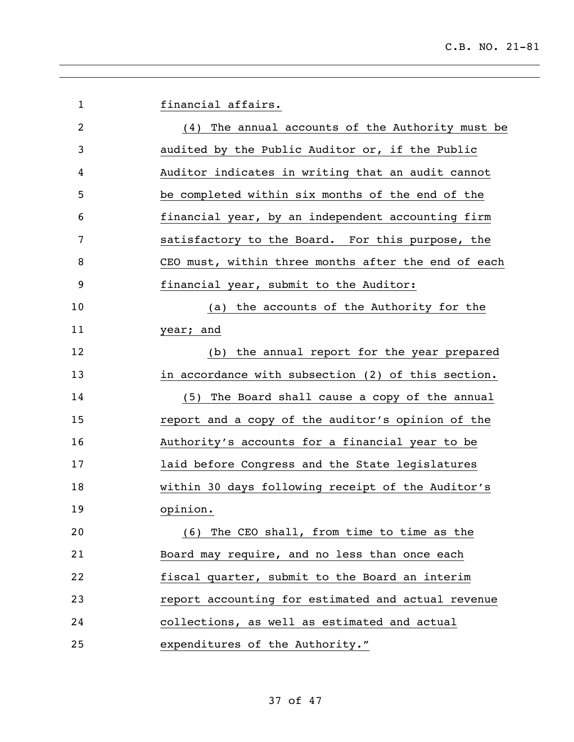| $\mathbf 1$    | financial affairs.                                  |
|----------------|-----------------------------------------------------|
| $\overline{2}$ | (4) The annual accounts of the Authority must be    |
| 3              | audited by the Public Auditor or, if the Public     |
| 4              | Auditor indicates in writing that an audit cannot   |
| 5              | be completed within six months of the end of the    |
| 6              | financial year, by an independent accounting firm   |
| 7              | satisfactory to the Board. For this purpose, the    |
| 8              | CEO must, within three months after the end of each |
| 9              | financial year, submit to the Auditor:              |
| 10             | (a) the accounts of the Authority for the           |
| 11             | year; and                                           |
| 12             | (b) the annual report for the year prepared         |
| 13             | in accordance with subsection (2) of this section.  |
| 14             | (5) The Board shall cause a copy of the annual      |
| 15             | report and a copy of the auditor's opinion of the   |
| 16             | Authority's accounts for a financial year to be     |
| 17             | laid before Congress and the State legislatures     |
| 18             | within 30 days following receipt of the Auditor's   |
| 19             | opinion.                                            |
| 20             | (6) The CEO shall, from time to time as the         |
| 21             | Board may require, and no less than once each       |
| 22             | fiscal quarter, submit to the Board an interim      |
| 23             | report accounting for estimated and actual revenue  |
| 24             | collections, as well as estimated and actual        |
| 25             | expenditures of the Authority."                     |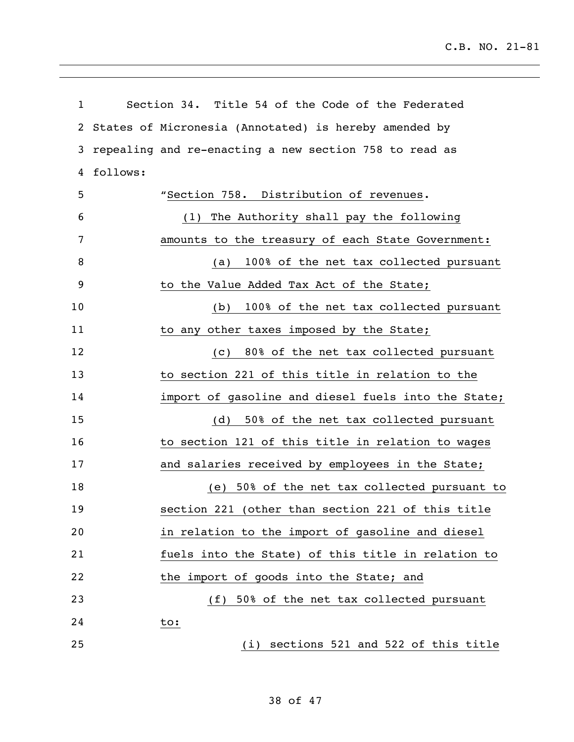| $\mathbf{1}$ |          | Section 34. Title 54 of the Code of the Federated      |
|--------------|----------|--------------------------------------------------------|
| 2            |          | States of Micronesia (Annotated) is hereby amended by  |
| 3            |          | repealing and re-enacting a new section 758 to read as |
| 4            | follows: |                                                        |
| 5            |          | "Section 758. Distribution of revenues.                |
| 6            |          | (1) The Authority shall pay the following              |
| 7            |          | amounts to the treasury of each State Government:      |
| 8            |          | 100% of the net tax collected pursuant<br>(a)          |
| 9            |          | to the Value Added Tax Act of the State;               |
| 10           |          | 100% of the net tax collected pursuant<br>(b)          |
| 11           |          | to any other taxes imposed by the State;               |
| 12           |          | 80% of the net tax collected pursuant<br>(c)           |
| 13           |          | to section 221 of this title in relation to the        |
| 14           |          | import of gasoline and diesel fuels into the State;    |
| 15           |          | 50% of the net tax collected pursuant<br>(d)           |
| 16           |          | to section 121 of this title in relation to wages      |
| 17           |          | and salaries received by employees in the State;       |
| 18           |          | (e) 50% of the net tax collected pursuant to           |
| 19           |          | section 221 (other than section 221 of this title      |
| 20           |          | in relation to the import of gasoline and diesel       |
| 21           |          | fuels into the State) of this title in relation to     |
| 22           |          | the import of goods into the State; and                |
| 23           |          | (f) 50% of the net tax collected pursuant              |
| 24           |          | to:                                                    |
| 25           |          | (i) sections 521 and 522 of this title                 |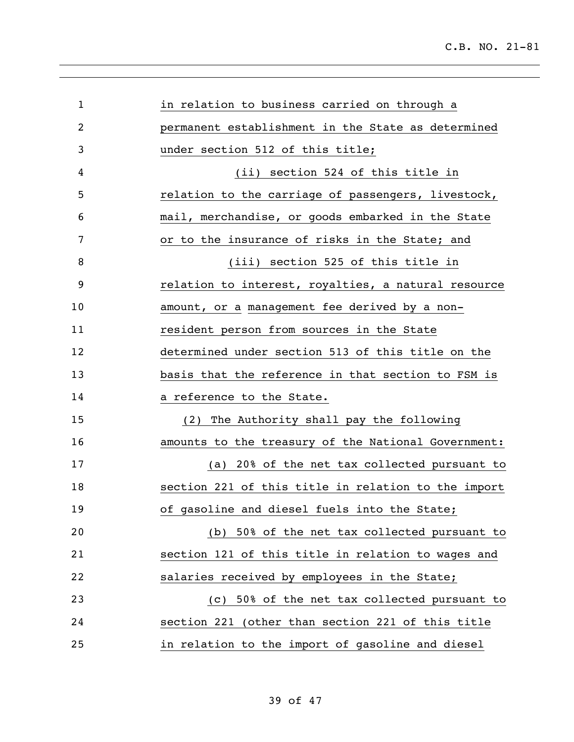| $\mathbf{1}$ | in relation to business carried on through a        |
|--------------|-----------------------------------------------------|
| 2            | permanent establishment in the State as determined  |
| 3            | under section 512 of this title;                    |
| 4            | (ii) section 524 of this title in                   |
| 5            | relation to the carriage of passengers, livestock,  |
| 6            | mail, merchandise, or goods embarked in the State   |
| 7            | or to the insurance of risks in the State; and      |
| 8            | (iii) section 525 of this title in                  |
| 9            | relation to interest, royalties, a natural resource |
| 10           | amount, or a management fee derived by a non-       |
| 11           | resident person from sources in the State           |
| 12           | determined under section 513 of this title on the   |
| 13           | basis that the reference in that section to FSM is  |
| 14           | a reference to the State.                           |
| 15           | (2) The Authority shall pay the following           |
| 16           | amounts to the treasury of the National Government: |
| 17           | (a) 20% of the net tax collected pursuant to        |
| 18           | section 221 of this title in relation to the import |
| 19           | of gasoline and diesel fuels into the State;        |
| 20           | (b) 50% of the net tax collected pursuant to        |
| 21           | section 121 of this title in relation to wages and  |
| 22           | salaries received by employees in the State;        |
| 23           | (c) 50% of the net tax collected pursuant to        |
| 24           | section 221 (other than section 221 of this title   |
| 25           | in relation to the import of gasoline and diesel    |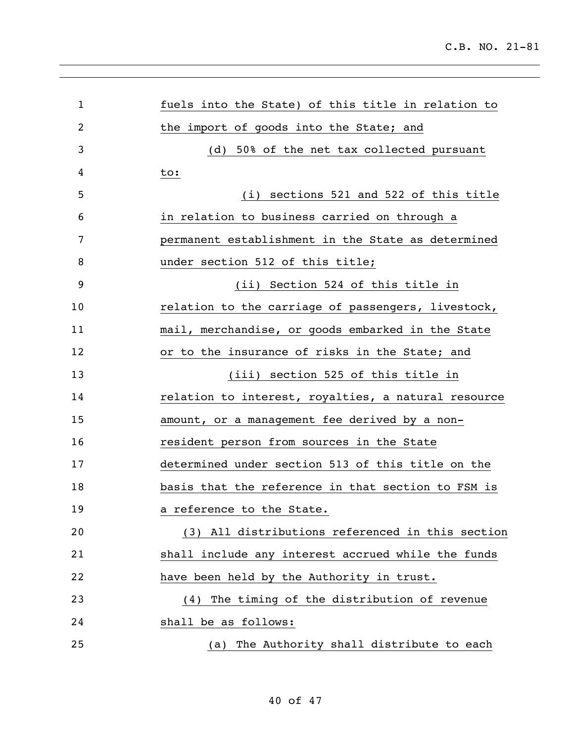| $\mathbf{1}$   | fuels into the State) of this title in relation to  |
|----------------|-----------------------------------------------------|
| $\overline{2}$ | the import of goods into the State; and             |
| 3              | (d) 50% of the net tax collected pursuant           |
| 4              | to:                                                 |
| 5              | (i) sections 521 and 522 of this title              |
| 6              | in relation to business carried on through a        |
| 7              | permanent establishment in the State as determined  |
| 8              | under section 512 of this title;                    |
| 9              | (ii) Section 524 of this title in                   |
| 10             | relation to the carriage of passengers, livestock,  |
| 11             | mail, merchandise, or goods embarked in the State   |
| 12             | or to the insurance of risks in the State; and      |
| 13             | (iii) section 525 of this title in                  |
| 14             | relation to interest, royalties, a natural resource |
| 15             | amount, or a management fee derived by a non-       |
| 16             | resident person from sources in the State           |
| 17             | determined under section 513 of this title on the   |
| 18             | basis that the reference in that section to FSM is  |
| 19             | a reference to the State.                           |
| 20             | (3) All distributions referenced in this section    |
| 21             | shall include any interest accrued while the funds  |
| 22             | have been held by the Authority in trust.           |
| 23             | The timing of the distribution of revenue<br>(4)    |
| 24             | shall be as follows:                                |
| 25             | (a) The Authority shall distribute to each          |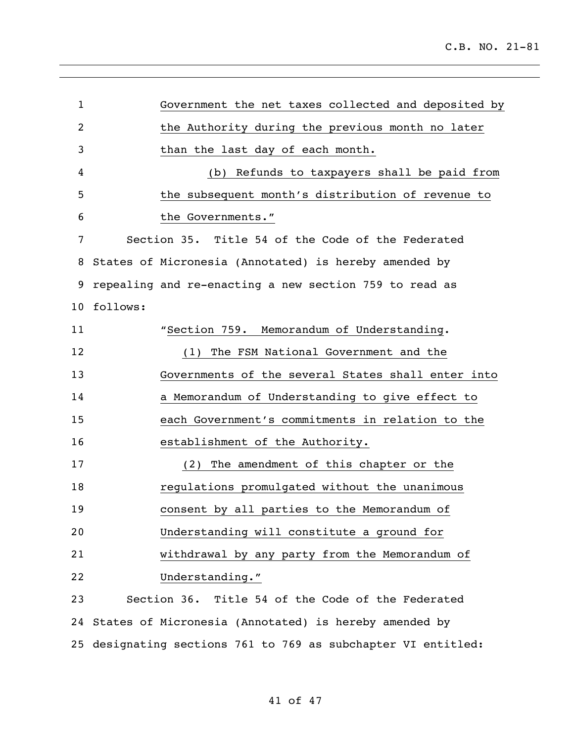| $\mathbf{1}$ |          | Government the net taxes collected and deposited by        |
|--------------|----------|------------------------------------------------------------|
| 2            |          | the Authority during the previous month no later           |
| 3            |          | than the last day of each month.                           |
| 4            |          | Refunds to taxpayers shall be paid from<br>(b)             |
| 5            |          | the subsequent month's distribution of revenue to          |
| 6            |          | the Governments."                                          |
| 7            |          | Section 35. Title 54 of the Code of the Federated          |
| 8            |          | States of Micronesia (Annotated) is hereby amended by      |
| 9            |          | repealing and re-enacting a new section 759 to read as     |
| 10           | follows: |                                                            |
| 11           |          | "Section 759. Memorandum of Understanding.                 |
| 12           |          | (1) The FSM National Government and the                    |
| 13           |          | Governments of the several States shall enter into         |
| 14           |          | a Memorandum of Understanding to give effect to            |
| 15           |          | each Government's commitments in relation to the           |
| 16           |          | establishment of the Authority.                            |
| 17           |          | (2) The amendment of this chapter or the                   |
| 18           |          | regulations promulgated without the unanimous              |
| 19           |          | consent by all parties to the Memorandum of                |
| 20           |          | Understanding will constitute a ground for                 |
| 21           |          | withdrawal by any party from the Memorandum of             |
| 22           |          | Understanding."                                            |
| 23           |          | Section 36. Title 54 of the Code of the Federated          |
|              |          | 24 States of Micronesia (Annotated) is hereby amended by   |
| 25           |          | designating sections 761 to 769 as subchapter VI entitled: |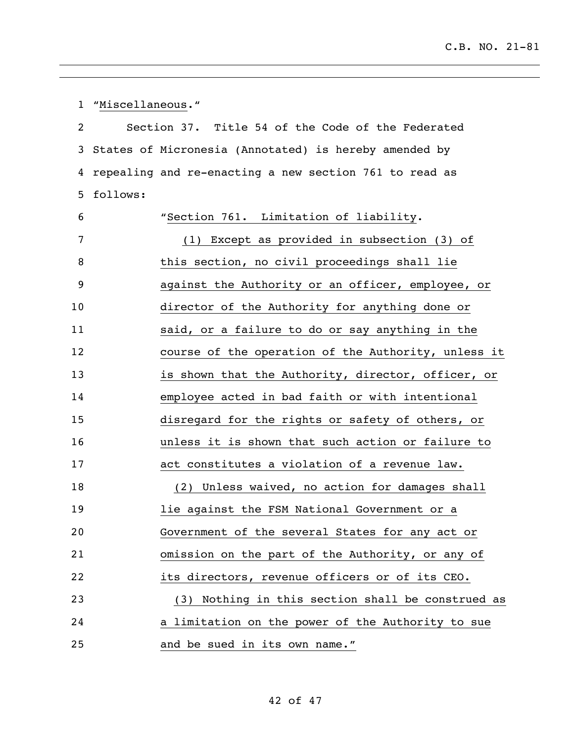"Miscellaneous." Section 37. Title 54 of the Code of the Federated States of Micronesia (Annotated) is hereby amended by repealing and re-enacting a new section 761 to read as follows: "Section 761. Limitation of liability. (1) Except as provided in subsection (3) of 8 this section, no civil proceedings shall lie against the Authority or an officer, employee, or director of the Authority for anything done or said, or a failure to do or say anything in the course of the operation of the Authority, unless it is shown that the Authority, director, officer, or employee acted in bad faith or with intentional disregard for the rights or safety of others, or unless it is shown that such action or failure to act constitutes a violation of a revenue law. (2) Unless waived, no action for damages shall lie against the FSM National Government or a Government of the several States for any act or omission on the part of the Authority, or any of its directors, revenue officers or of its CEO. (3) Nothing in this section shall be construed as a limitation on the power of the Authority to sue and be sued in its own name."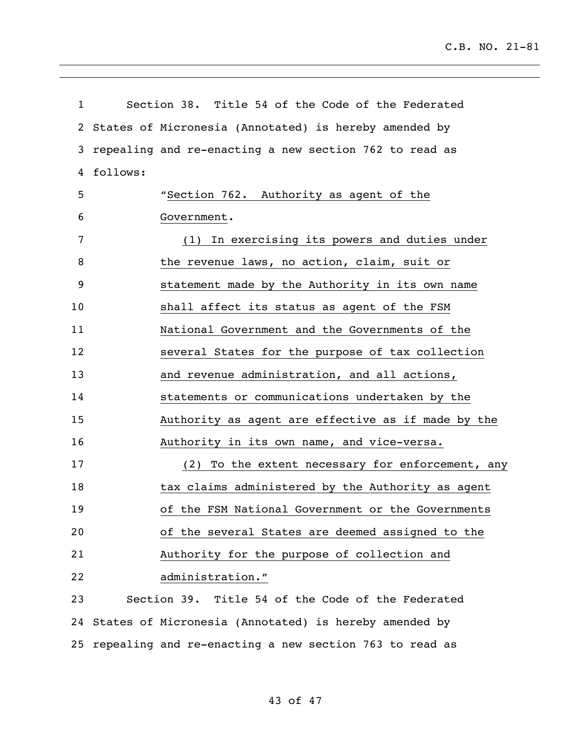| $\mathbf{1}$ |          | Section 38. Title 54 of the Code of the Federated         |
|--------------|----------|-----------------------------------------------------------|
| $\mathbf{2}$ |          | States of Micronesia (Annotated) is hereby amended by     |
| 3            |          | repealing and re-enacting a new section 762 to read as    |
| 4            | follows: |                                                           |
| 5            |          | "Section 762. Authority as agent of the                   |
| 6            |          | Government.                                               |
| 7            |          | (1) In exercising its powers and duties under             |
| 8            |          | the revenue laws, no action, claim, suit or               |
| 9            |          | statement made by the Authority in its own name           |
| 10           |          | shall affect its status as agent of the FSM               |
| 11           |          | National Government and the Governments of the            |
| 12           |          | several States for the purpose of tax collection          |
| 13           |          | and revenue administration, and all actions,              |
| 14           |          | statements or communications undertaken by the            |
| 15           |          | Authority as agent are effective as if made by the        |
| 16           |          | Authority in its own name, and vice-versa.                |
| 17           |          | (2) To the extent necessary for enforcement, any          |
| 18           |          | tax claims administered by the Authority as agent         |
| 19           |          | of the FSM National Government or the Governments         |
| 20           |          | of the several States are deemed assigned to the          |
| 21           |          | Authority for the purpose of collection and               |
| 22           |          | administration."                                          |
| 23           |          | Section 39. Title 54 of the Code of the Federated         |
| 24           |          | States of Micronesia (Annotated) is hereby amended by     |
|              |          | 25 repealing and re-enacting a new section 763 to read as |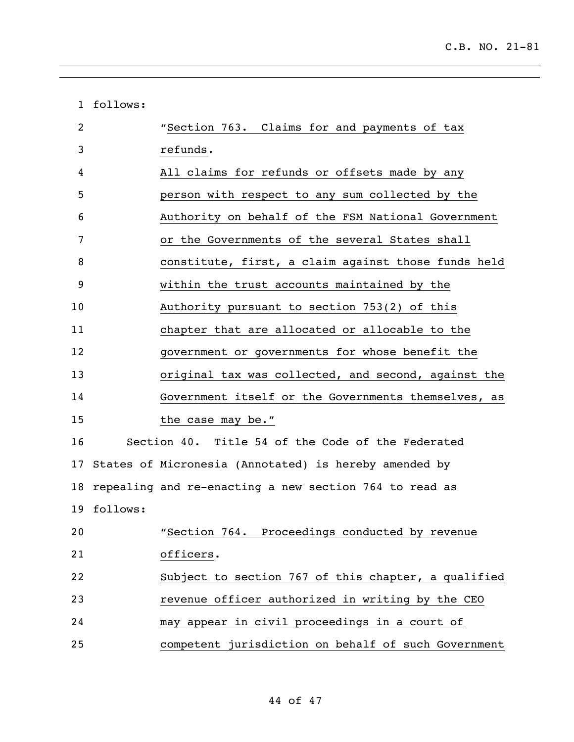|    | 1 follows:  |                                                        |
|----|-------------|--------------------------------------------------------|
| 2  |             | "Section 763. Claims for and payments of tax           |
| 3  |             | refunds.                                               |
| 4  |             | All claims for refunds or offsets made by any          |
| 5  |             | person with respect to any sum collected by the        |
| 6  |             | Authority on behalf of the FSM National Government     |
| 7  |             | or the Governments of the several States shall         |
| 8  |             | constitute, first, a claim against those funds held    |
| 9  |             | within the trust accounts maintained by the            |
| 10 |             | Authority pursuant to section 753(2) of this           |
| 11 |             | chapter that are allocated or allocable to the         |
| 12 |             | government or governments for whose benefit the        |
| 13 |             | original tax was collected, and second, against the    |
| 14 |             | Government itself or the Governments themselves, as    |
| 15 |             | the case may be."                                      |
| 16 |             | Section 40. Title 54 of the Code of the Federated      |
| 17 |             | States of Micronesia (Annotated) is hereby amended by  |
| 18 |             | repealing and re-enacting a new section 764 to read as |
|    | 19 follows: |                                                        |
| 20 |             | "Section 764. Proceedings conducted by revenue         |
| 21 |             | officers.                                              |
| 22 |             | Subject to section 767 of this chapter, a qualified    |
| 23 |             | revenue officer authorized in writing by the CEO       |
| 24 |             | may appear in civil proceedings in a court of          |
| 25 |             | competent jurisdiction on behalf of such Government    |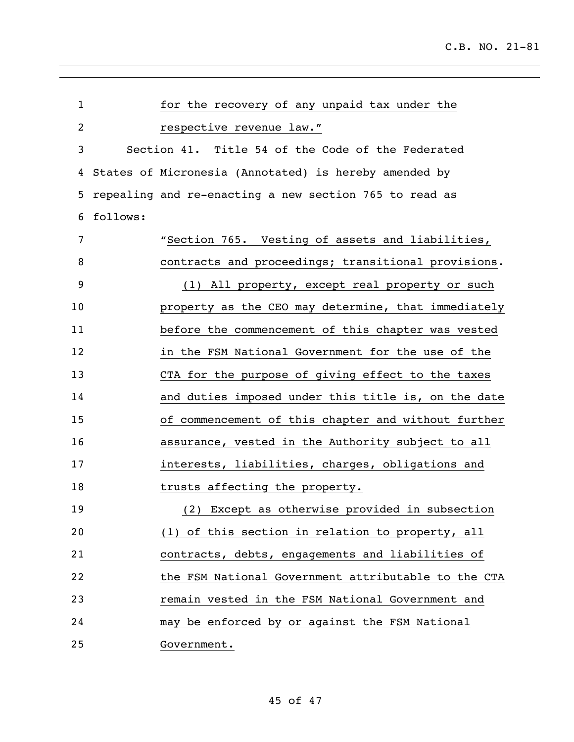| $\mathbf{1}$   |          | for the recovery of any unpaid tax under the           |
|----------------|----------|--------------------------------------------------------|
| $\overline{2}$ |          | respective revenue law."                               |
| 3              |          | Section 41. Title 54 of the Code of the Federated      |
| 4              |          | States of Micronesia (Annotated) is hereby amended by  |
| 5              |          | repealing and re-enacting a new section 765 to read as |
| 6              | follows: |                                                        |
| 7              |          | "Section 765. Vesting of assets and liabilities,       |
| 8              |          | contracts and proceedings; transitional provisions.    |
| 9              |          | (1) All property, except real property or such         |
| 10             |          | property as the CEO may determine, that immediately    |
| 11             |          | before the commencement of this chapter was vested     |
| 12             |          | in the FSM National Government for the use of the      |
| 13             |          | CTA for the purpose of giving effect to the taxes      |
| 14             |          | and duties imposed under this title is, on the date    |
| 15             |          | of commencement of this chapter and without further    |
| 16             |          | assurance, vested in the Authority subject to all      |
| 17             |          | interests, liabilities, charges, obligations and       |
| 18             |          | trusts affecting the property.                         |
| 19             |          | (2) Except as otherwise provided in subsection         |
| 20             |          | (1) of this section in relation to property, all       |
| 21             |          | contracts, debts, engagements and liabilities of       |
| 22             |          | the FSM National Government attributable to the CTA    |
| 23             |          | remain vested in the FSM National Government and       |
| 24             |          | may be enforced by or against the FSM National         |
| 25             |          | Government.                                            |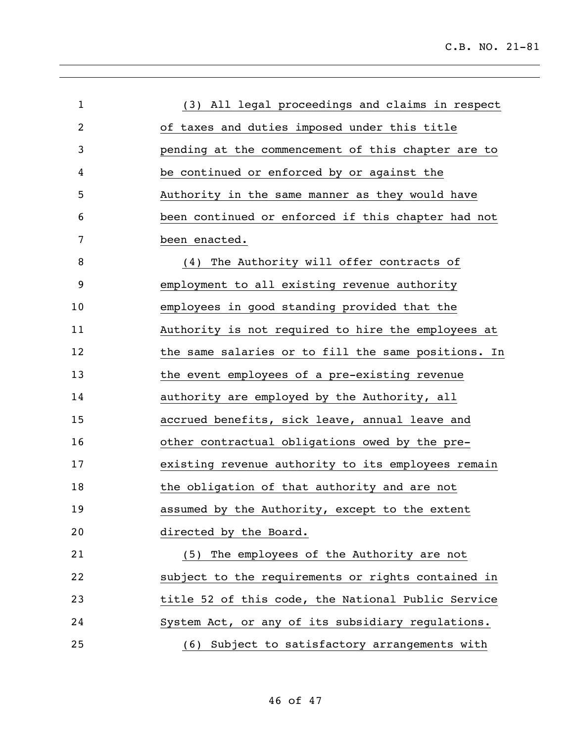| $\mathbf{1}$ | (3) All legal proceedings and claims in respect     |
|--------------|-----------------------------------------------------|
| 2            | of taxes and duties imposed under this title        |
| 3            | pending at the commencement of this chapter are to  |
| 4            | be continued or enforced by or against the          |
| 5            | Authority in the same manner as they would have     |
| 6            | been continued or enforced if this chapter had not  |
| 7            | been enacted.                                       |
| 8            | (4) The Authority will offer contracts of           |
| 9            | employment to all existing revenue authority        |
| 10           | employees in good standing provided that the        |
| 11           | Authority is not required to hire the employees at  |
| 12           | the same salaries or to fill the same positions. In |
| 13           | the event employees of a pre-existing revenue       |
| 14           | authority are employed by the Authority, all        |
| 15           | accrued benefits, sick leave, annual leave and      |
| 16           | other contractual obligations owed by the pre-      |
| 17           | existing revenue authority to its employees remain  |
| 18           | the obligation of that authority and are not        |
| 19           | assumed by the Authority, except to the extent      |
| 20           | directed by the Board.                              |
| 21           | (5) The employees of the Authority are not          |
| 22           | subject to the requirements or rights contained in  |
| 23           | title 52 of this code, the National Public Service  |
| 24           | System Act, or any of its subsidiary regulations.   |
| 25           | (6) Subject to satisfactory arrangements with       |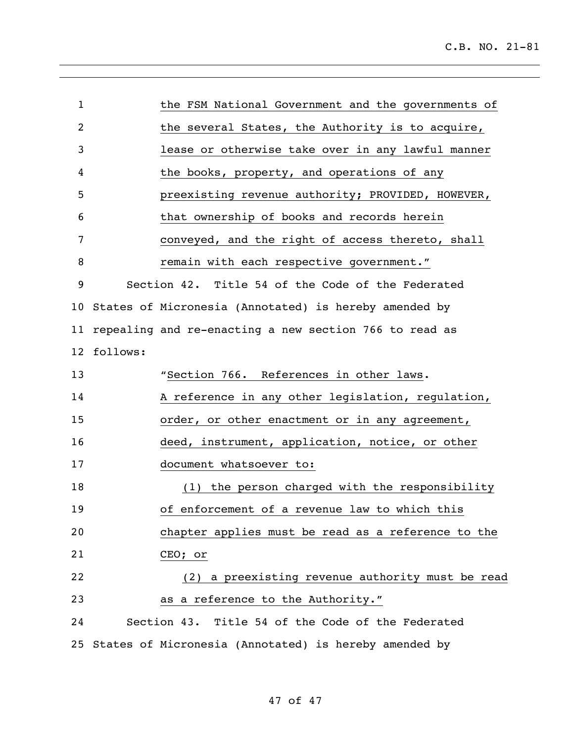| $\mathbf 1$     |          | the FSM National Government and the governments of       |
|-----------------|----------|----------------------------------------------------------|
| 2               |          | the several States, the Authority is to acquire,         |
| 3               |          | lease or otherwise take over in any lawful manner        |
| 4               |          | the books, property, and operations of any               |
| 5               |          | preexisting revenue authority; PROVIDED, HOWEVER,        |
| 6               |          | that ownership of books and records herein               |
| 7               |          | conveyed, and the right of access thereto, shall         |
| 8               |          | remain with each respective government."                 |
| 9               |          | Section 42. Title 54 of the Code of the Federated        |
| 10              |          | States of Micronesia (Annotated) is hereby amended by    |
| 11              |          | repealing and re-enacting a new section 766 to read as   |
| 12 <sup>°</sup> | follows: |                                                          |
| 13              |          | "Section 766. References in other laws.                  |
| 14              |          | A reference in any other legislation, regulation,        |
| 15              |          | order, or other enactment or in any agreement,           |
| 16              |          | deed, instrument, application, notice, or other          |
| 17              |          | document whatsoever to:                                  |
| 18              |          | (1) the person charged with the responsibility           |
| 19              |          | of enforcement of a revenue law to which this            |
| 20              |          | chapter applies must be read as a reference to the       |
| 21              |          | CEO; or                                                  |
| 22              |          | (2) a preexisting revenue authority must be read         |
| 23              |          | as a reference to the Authority."                        |
| 24              |          | Section 43. Title 54 of the Code of the Federated        |
|                 |          | 25 States of Micronesia (Annotated) is hereby amended by |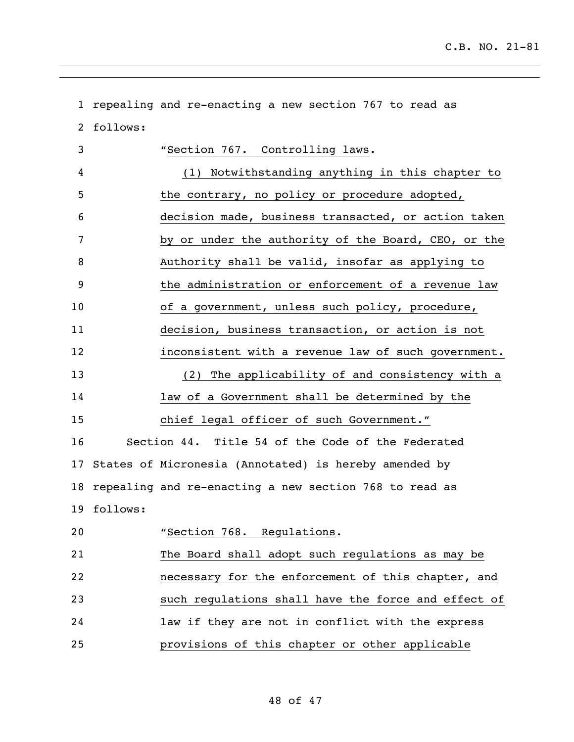| $\mathbf{1}$ |             | repealing and re-enacting a new section 767 to read as |
|--------------|-------------|--------------------------------------------------------|
| 2            | follows:    |                                                        |
| 3            |             | "Section 767. Controlling laws.                        |
| 4            |             | (1) Notwithstanding anything in this chapter to        |
| 5            |             | the contrary, no policy or procedure adopted,          |
| 6            |             | decision made, business transacted, or action taken    |
| 7            |             | by or under the authority of the Board, CEO, or the    |
| 8            |             | Authority shall be valid, insofar as applying to       |
| 9            |             | the administration or enforcement of a revenue law     |
| 10           |             | of a government, unless such policy, procedure,        |
| 11           |             | decision, business transaction, or action is not       |
| 12           |             | inconsistent with a revenue law of such government.    |
| 13           |             | (2) The applicability of and consistency with a        |
| 14           |             | law of a Government shall be determined by the         |
| 15           |             | chief legal officer of such Government."               |
| 16           |             | Section 44. Title 54 of the Code of the Federated      |
| 17           |             | States of Micronesia (Annotated) is hereby amended by  |
| 18           |             | repealing and re-enacting a new section 768 to read as |
|              | 19 follows: |                                                        |
| 20           |             | "Section 768. Regulations.                             |
| 21           |             | The Board shall adopt such regulations as may be       |
| 22           |             | necessary for the enforcement of this chapter, and     |
| 23           |             | such regulations shall have the force and effect of    |
| 24           |             | law if they are not in conflict with the express       |
| 25           |             | provisions of this chapter or other applicable         |